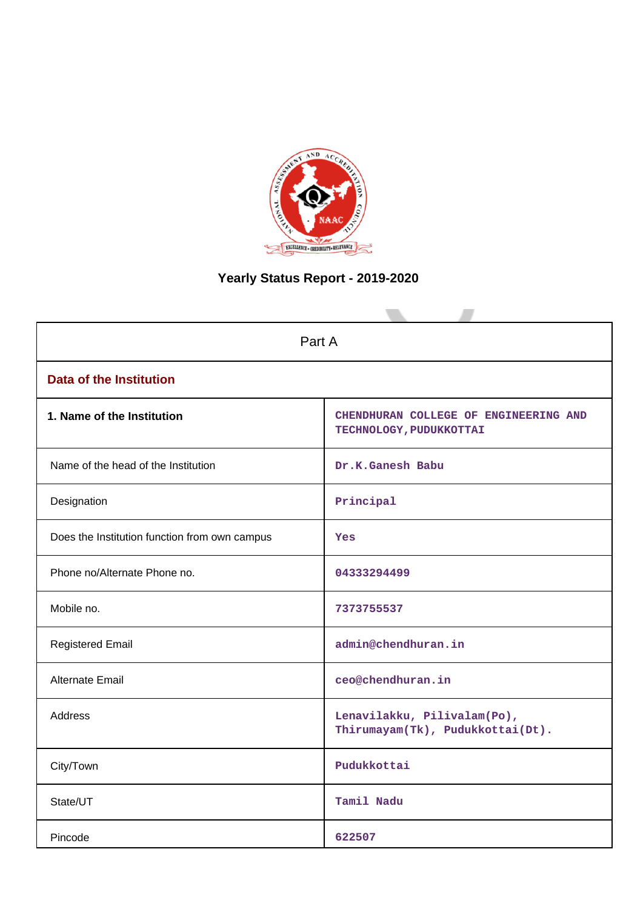

# **Yearly Status Report - 2019-2020**

| Part A                                        |                                                                  |  |  |  |  |  |
|-----------------------------------------------|------------------------------------------------------------------|--|--|--|--|--|
| <b>Data of the Institution</b>                |                                                                  |  |  |  |  |  |
| 1. Name of the Institution                    | CHENDHURAN COLLEGE OF ENGINEERING AND<br>TECHNOLOGY, PUDUKKOTTAI |  |  |  |  |  |
| Name of the head of the Institution           | Dr.K.Ganesh Babu                                                 |  |  |  |  |  |
| Designation                                   | Principal                                                        |  |  |  |  |  |
| Does the Institution function from own campus | Yes                                                              |  |  |  |  |  |
| Phone no/Alternate Phone no.                  | 04333294499                                                      |  |  |  |  |  |
| Mobile no.                                    | 7373755537                                                       |  |  |  |  |  |
| <b>Registered Email</b>                       | admin@chendhuran.in                                              |  |  |  |  |  |
| Alternate Email                               | ceo@chendhuran.in                                                |  |  |  |  |  |
| <b>Address</b>                                | Lenavilakku, Pilivalam(Po),<br>Thirumayam(Tk), Pudukkottai(Dt).  |  |  |  |  |  |
| City/Town                                     | Pudukkottai                                                      |  |  |  |  |  |
| State/UT                                      | Tamil Nadu                                                       |  |  |  |  |  |
| Pincode                                       | 622507                                                           |  |  |  |  |  |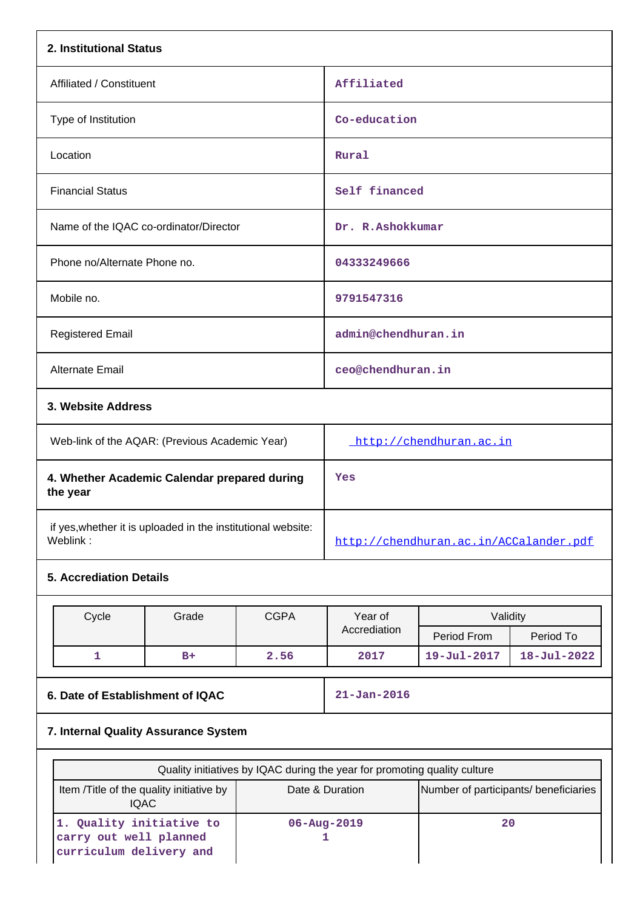| 2. Institutional Status                                                       |                                      |             |                                                                           |                                       |                   |  |  |  |
|-------------------------------------------------------------------------------|--------------------------------------|-------------|---------------------------------------------------------------------------|---------------------------------------|-------------------|--|--|--|
| Affiliated / Constituent                                                      |                                      |             | Affiliated                                                                |                                       |                   |  |  |  |
| Type of Institution                                                           |                                      |             | Co-education                                                              |                                       |                   |  |  |  |
| Location                                                                      |                                      |             | Rural                                                                     |                                       |                   |  |  |  |
| <b>Financial Status</b>                                                       |                                      |             | Self financed                                                             |                                       |                   |  |  |  |
| Name of the IQAC co-ordinator/Director                                        |                                      |             | Dr. R.Ashokkumar                                                          |                                       |                   |  |  |  |
| Phone no/Alternate Phone no.                                                  |                                      |             | 04333249666                                                               |                                       |                   |  |  |  |
| Mobile no.                                                                    |                                      |             | 9791547316                                                                |                                       |                   |  |  |  |
| <b>Registered Email</b>                                                       |                                      |             | admin@chendhuran.in                                                       |                                       |                   |  |  |  |
| Alternate Email                                                               |                                      |             | ceo@chendhuran.in                                                         |                                       |                   |  |  |  |
|                                                                               | 3. Website Address                   |             |                                                                           |                                       |                   |  |  |  |
| Web-link of the AQAR: (Previous Academic Year)                                |                                      |             | http://chendhuran.ac.in                                                   |                                       |                   |  |  |  |
| 4. Whether Academic Calendar prepared during<br>the year                      |                                      |             | Yes                                                                       |                                       |                   |  |  |  |
| if yes, whether it is uploaded in the institutional website:<br>Weblink:      |                                      |             | http://chendhuran.ac.in/ACCalander.pdf                                    |                                       |                   |  |  |  |
| <b>5. Accrediation Details</b>                                                |                                      |             |                                                                           |                                       |                   |  |  |  |
| Cycle                                                                         | Grade                                | <b>CGPA</b> | Year of                                                                   | Validity                              |                   |  |  |  |
|                                                                               |                                      |             | Accrediation                                                              | Period From                           | Period To         |  |  |  |
| 1                                                                             | $B+$                                 | 2.56        | 2017                                                                      | 19-Jul-2017                           | $18 - Jul - 2022$ |  |  |  |
| 6. Date of Establishment of IQAC                                              |                                      |             | $21 - Jan - 2016$                                                         |                                       |                   |  |  |  |
|                                                                               | 7. Internal Quality Assurance System |             |                                                                           |                                       |                   |  |  |  |
|                                                                               |                                      |             | Quality initiatives by IQAC during the year for promoting quality culture |                                       |                   |  |  |  |
| Item /Title of the quality initiative by<br><b>IQAC</b>                       |                                      |             | Date & Duration                                                           | Number of participants/ beneficiaries |                   |  |  |  |
| 1. Quality initiative to<br>carry out well planned<br>curriculum delivery and |                                      |             | 20<br>06-Aug-2019<br>1                                                    |                                       |                   |  |  |  |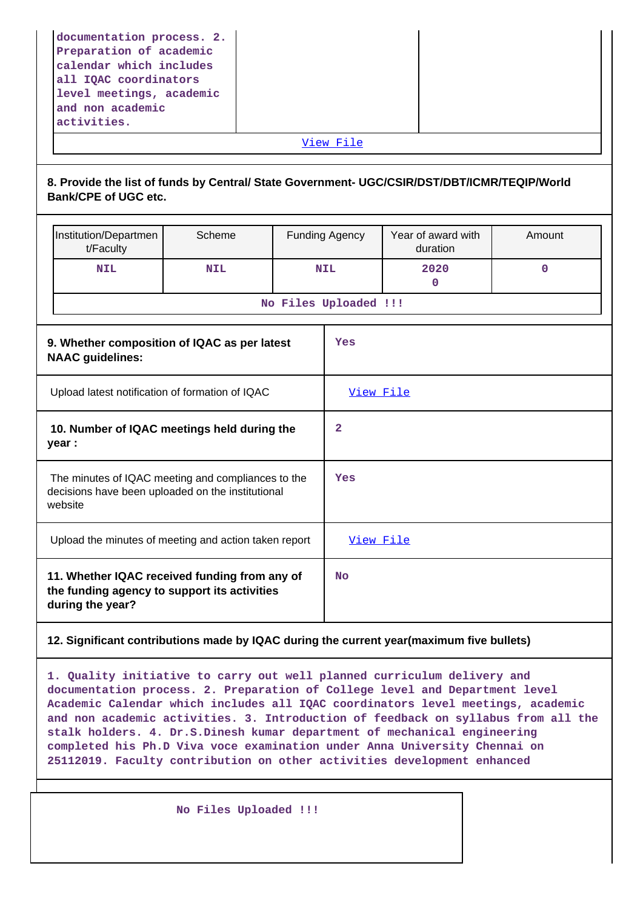| level meetings, academic<br>and non academic<br>activities.                                              |  |
|----------------------------------------------------------------------------------------------------------|--|
| documentation process. 2.<br>Preparation of academic<br>calendar which includes<br>all IQAC coordinators |  |

# **8. Provide the list of funds by Central/ State Government- UGC/CSIR/DST/DBT/ICMR/TEQIP/World Bank/CPE of UGC etc.**

| Institution/Departmen<br>t/Faculty                                                                                 | Scheme     | <b>Funding Agency</b> | Year of award with<br>duration | Amount      |
|--------------------------------------------------------------------------------------------------------------------|------------|-----------------------|--------------------------------|-------------|
| <b>NIL</b>                                                                                                         | <b>NIL</b> | <b>NIL</b>            | 2020<br>0                      | $\mathbf 0$ |
|                                                                                                                    |            | No Files Uploaded !!! |                                |             |
| 9. Whether composition of IQAC as per latest<br><b>NAAC</b> guidelines:                                            |            | Yes                   |                                |             |
| Upload latest notification of formation of IQAC                                                                    |            | View File             |                                |             |
| 10. Number of IQAC meetings held during the<br>year :                                                              |            | 2                     |                                |             |
| The minutes of IQAC meeting and compliances to the<br>decisions have been uploaded on the institutional<br>website |            | Yes                   |                                |             |
| Upload the minutes of meeting and action taken report                                                              |            | View File             |                                |             |
| 11. Whether IQAC received funding from any of<br>the funding agency to support its activities<br>during the year?  |            | <b>No</b>             |                                |             |

# **12. Significant contributions made by IQAC during the current year(maximum five bullets)**

**1. Quality initiative to carry out well planned curriculum delivery and documentation process. 2. Preparation of College level and Department level Academic Calendar which includes all IQAC coordinators level meetings, academic and non academic activities. 3. Introduction of feedback on syllabus from all the stalk holders. 4. Dr.S.Dinesh kumar department of mechanical engineering completed his Ph.D Viva voce examination under Anna University Chennai on 25112019. Faculty contribution on other activities development enhanced**

 **No Files Uploaded !!!**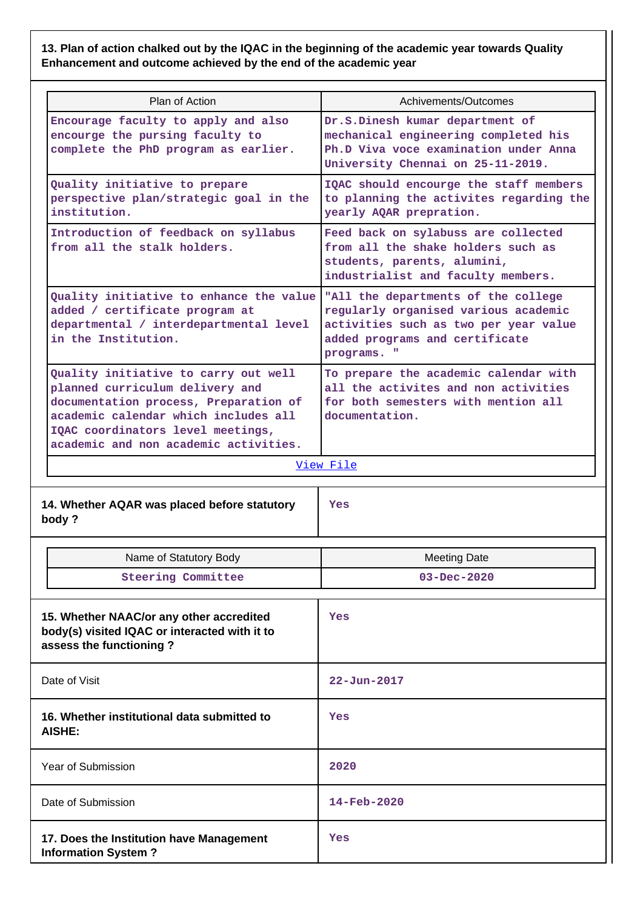**13. Plan of action chalked out by the IQAC in the beginning of the academic year towards Quality Enhancement and outcome achieved by the end of the academic year**

| Plan of Action                                                                                                                                                                                                                         | Achivements/Outcomes                                                                                                                                                  |  |  |  |
|----------------------------------------------------------------------------------------------------------------------------------------------------------------------------------------------------------------------------------------|-----------------------------------------------------------------------------------------------------------------------------------------------------------------------|--|--|--|
| Encourage faculty to apply and also<br>encourge the pursing faculty to<br>complete the PhD program as earlier.                                                                                                                         | Dr.S.Dinesh kumar department of<br>mechanical engineering completed his<br>Ph.D Viva voce examination under Anna<br>University Chennai on 25-11-2019.                 |  |  |  |
| Quality initiative to prepare<br>perspective plan/strategic goal in the<br>institution.                                                                                                                                                | IQAC should encourge the staff members<br>to planning the activites regarding the<br>yearly AQAR prepration.                                                          |  |  |  |
| Introduction of feedback on syllabus<br>from all the stalk holders.                                                                                                                                                                    | Feed back on sylabuss are collected<br>from all the shake holders such as<br>students, parents, alumini,<br>industrialist and faculty members.                        |  |  |  |
| Quality initiative to enhance the value<br>added / certificate program at<br>departmental / interdepartmental level<br>in the Institution.                                                                                             | "All the departments of the college<br>regularly organised various academic<br>activities such as two per year value<br>added programs and certificate<br>programs. " |  |  |  |
| Quality initiative to carry out well<br>planned curriculum delivery and<br>documentation process, Preparation of<br>academic calendar which includes all<br>IQAC coordinators level meetings,<br>academic and non academic activities. | To prepare the academic calendar with<br>all the activites and non activities<br>for both semesters with mention all<br>documentation.                                |  |  |  |
|                                                                                                                                                                                                                                        | View File                                                                                                                                                             |  |  |  |
| 14. Whether AQAR was placed before statutory<br>body?                                                                                                                                                                                  | Yes                                                                                                                                                                   |  |  |  |
| Name of Statutory Body                                                                                                                                                                                                                 | <b>Meeting Date</b>                                                                                                                                                   |  |  |  |
| <b>Steering Committee</b>                                                                                                                                                                                                              | 03-Dec-2020                                                                                                                                                           |  |  |  |
| 15. Whether NAAC/or any other accredited<br>body(s) visited IQAC or interacted with it to<br>assess the functioning?                                                                                                                   | Yes                                                                                                                                                                   |  |  |  |
| Date of Visit                                                                                                                                                                                                                          | $22 - Jun - 2017$                                                                                                                                                     |  |  |  |
| 16. Whether institutional data submitted to<br>AISHE:                                                                                                                                                                                  | Yes                                                                                                                                                                   |  |  |  |
| <b>Year of Submission</b>                                                                                                                                                                                                              | 2020                                                                                                                                                                  |  |  |  |
| Date of Submission                                                                                                                                                                                                                     | $14 - \text{Feb} - 2020$                                                                                                                                              |  |  |  |
| 17. Does the Institution have Management                                                                                                                                                                                               | Yes                                                                                                                                                                   |  |  |  |

**Information System ?**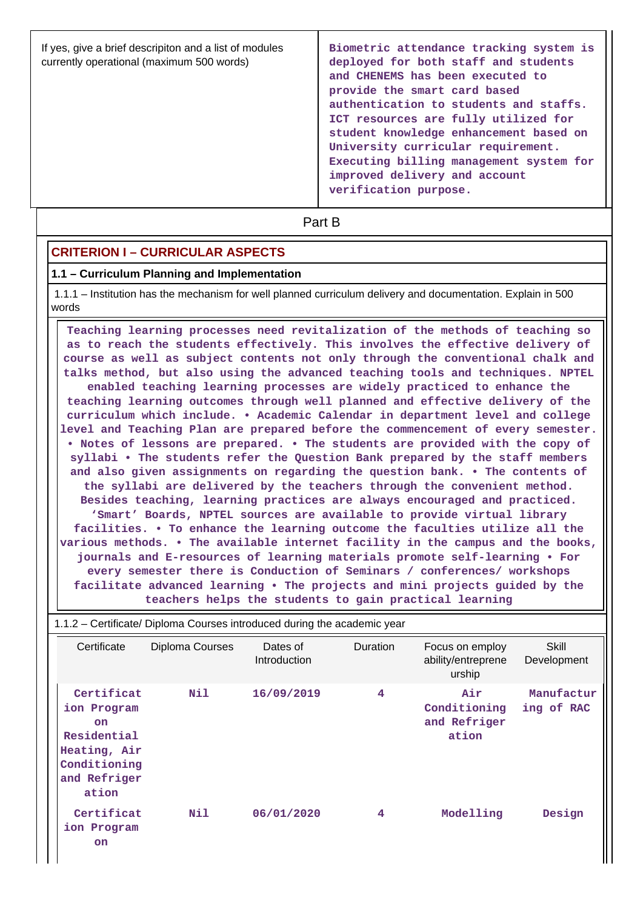| If yes, give a brief descripiton and a list of modules<br>currently operational (maximum 500 words) | Biometric attendance tracking system is<br>deployed for both staff and students<br>and CHENEMS has been executed to<br>provide the smart card based<br>authentication to students and staffs.<br>ICT resources are fully utilized for<br>student knowledge enhancement based on<br>University curricular requirement.<br>Executing billing management system for<br>improved delivery and account<br>verification purpose. |
|-----------------------------------------------------------------------------------------------------|----------------------------------------------------------------------------------------------------------------------------------------------------------------------------------------------------------------------------------------------------------------------------------------------------------------------------------------------------------------------------------------------------------------------------|
|-----------------------------------------------------------------------------------------------------|----------------------------------------------------------------------------------------------------------------------------------------------------------------------------------------------------------------------------------------------------------------------------------------------------------------------------------------------------------------------------------------------------------------------------|

**Part B** 

## **CRITERION I – CURRICULAR ASPECTS**

#### **1.1 – Curriculum Planning and Implementation**

 1.1.1 – Institution has the mechanism for well planned curriculum delivery and documentation. Explain in 500 words

 **Teaching learning processes need revitalization of the methods of teaching so as to reach the students effectively. This involves the effective delivery of course as well as subject contents not only through the conventional chalk and talks method, but also using the advanced teaching tools and techniques. NPTEL enabled teaching learning processes are widely practiced to enhance the teaching learning outcomes through well planned and effective delivery of the curriculum which include. • Academic Calendar in department level and college level and Teaching Plan are prepared before the commencement of every semester. • Notes of lessons are prepared. • The students are provided with the copy of syllabi • The students refer the Question Bank prepared by the staff members and also given assignments on regarding the question bank. • The contents of the syllabi are delivered by the teachers through the convenient method. Besides teaching, learning practices are always encouraged and practiced. 'Smart' Boards, NPTEL sources are available to provide virtual library facilities. • To enhance the learning outcome the faculties utilize all the various methods. • The available internet facility in the campus and the books, journals and E-resources of learning materials promote self-learning • For every semester there is Conduction of Seminars / conferences/ workshops facilitate advanced learning • The projects and mini projects guided by the teachers helps the students to gain practical learning**

| 1.1.2 – Certificate/ Diploma Courses introduced during the academic year                                |                 |                                 |                 |                                                 |                          |  |  |  |
|---------------------------------------------------------------------------------------------------------|-----------------|---------------------------------|-----------------|-------------------------------------------------|--------------------------|--|--|--|
| Certificate                                                                                             | Diploma Courses | Dates of<br><b>Introduction</b> | <b>Duration</b> | Focus on employ<br>ability/entreprene<br>urship | Skill<br>Development     |  |  |  |
| Certificat<br>ion Program<br>on<br>Residential<br>Heating, Air<br>Conditioning<br>and Refriger<br>ation | N11             | 16/09/2019                      | 4               | Air<br>Conditioning<br>and Refriger<br>ation    | Manufactur<br>ing of RAC |  |  |  |
| Certificat<br>ion Program<br><b>on</b>                                                                  | N11             | 06/01/2020                      | 4               | Modelling                                       | Design                   |  |  |  |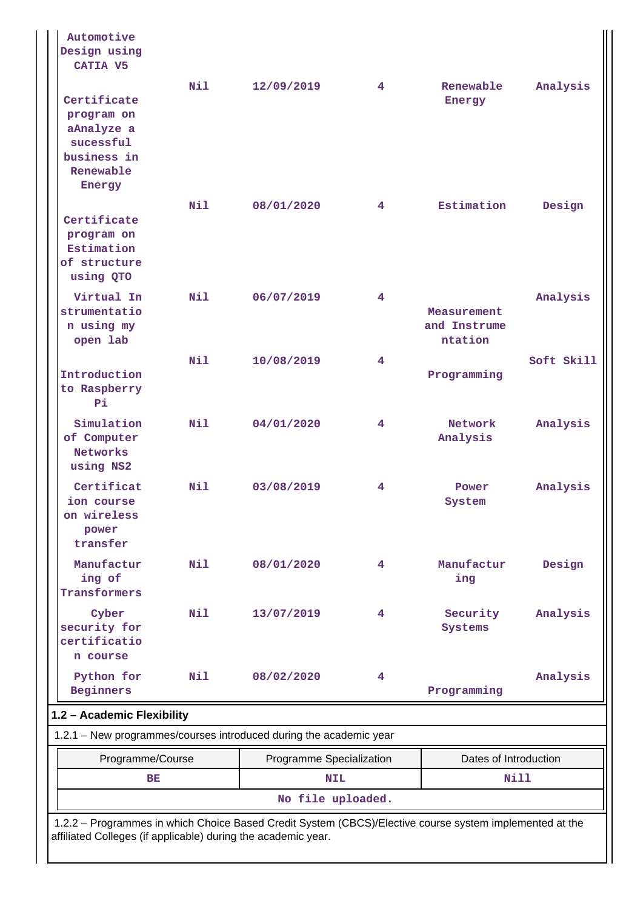| Automotive<br>Design using<br>CATIA V5                                                                                                                                   |     |                                                                    |   |                                        |            |  |  |
|--------------------------------------------------------------------------------------------------------------------------------------------------------------------------|-----|--------------------------------------------------------------------|---|----------------------------------------|------------|--|--|
| Certificate<br>program on<br>aAnalyze a<br>sucessful<br>business in<br>Renewable<br>Energy                                                                               | Nil | 12/09/2019                                                         | 4 | Renewable<br>Energy                    | Analysis   |  |  |
| Certificate<br>program on<br>Estimation<br>of structure<br>using QTO                                                                                                     | N11 | 08/01/2020                                                         | 4 | Estimation                             | Design     |  |  |
| Virtual In<br>strumentatio<br>n using my<br>open lab                                                                                                                     | Nil | 06/07/2019                                                         | 4 | Measurement<br>and Instrume<br>ntation | Analysis   |  |  |
| Introduction<br>to Raspberry<br>Pi.                                                                                                                                      | N11 | 10/08/2019                                                         | 4 | Programming                            | Soft Skill |  |  |
| Simulation<br>of Computer<br><b>Networks</b><br>using NS2                                                                                                                | N11 | 04/01/2020                                                         | 4 | Network<br>Analysis                    | Analysis   |  |  |
| Certificat<br>ion course<br>on wireless<br>power<br>transfer                                                                                                             | Nil | 03/08/2019                                                         | 4 | Power<br>System                        | Analysis   |  |  |
| Manufactur<br>ing of<br>Transformers                                                                                                                                     | Nil | 08/01/2020                                                         | 4 | Manufactur<br>ing                      | Design     |  |  |
| Cyber<br>security for<br>certificatio<br>n course                                                                                                                        | Nil | 13/07/2019                                                         | 4 | Security<br>Systems                    | Analysis   |  |  |
| Python for<br><b>Beginners</b>                                                                                                                                           | Nil | 08/02/2020                                                         | 4 | Programming                            | Analysis   |  |  |
| 1.2 - Academic Flexibility                                                                                                                                               |     |                                                                    |   |                                        |            |  |  |
|                                                                                                                                                                          |     | 1.2.1 - New programmes/courses introduced during the academic year |   |                                        |            |  |  |
| Programme/Course                                                                                                                                                         |     | Programme Specialization                                           |   | Dates of Introduction                  |            |  |  |
| BE                                                                                                                                                                       |     | <b>NIL</b>                                                         |   | Nill                                   |            |  |  |
|                                                                                                                                                                          |     | No file uploaded.                                                  |   |                                        |            |  |  |
| 1.2.2 - Programmes in which Choice Based Credit System (CBCS)/Elective course system implemented at the<br>affiliated Colleges (if applicable) during the academic year. |     |                                                                    |   |                                        |            |  |  |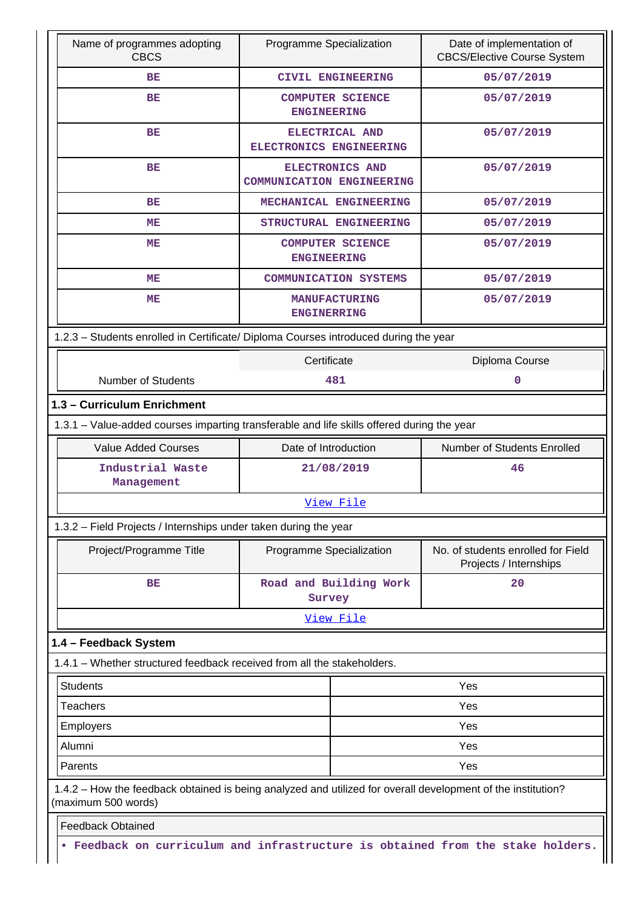| Name of programmes adopting<br><b>CBCS</b>                                                                                          | Programme Specialization                      |                              | Date of implementation of<br><b>CBCS/Elective Course System</b> |  |  |  |
|-------------------------------------------------------------------------------------------------------------------------------------|-----------------------------------------------|------------------------------|-----------------------------------------------------------------|--|--|--|
| BE                                                                                                                                  |                                               | <b>CIVIL ENGINEERING</b>     | 05/07/2019                                                      |  |  |  |
| BE                                                                                                                                  | <b>COMPUTER SCIENCE</b><br><b>ENGINEERING</b> |                              | 05/07/2019                                                      |  |  |  |
| <b>BE</b>                                                                                                                           | ELECTRONICS ENGINEERING                       | ELECTRICAL AND               | 05/07/2019                                                      |  |  |  |
| BE                                                                                                                                  | <b>COMMUNICATION ENGINEERING</b>              | <b>ELECTRONICS AND</b>       | 05/07/2019                                                      |  |  |  |
| <b>BE</b>                                                                                                                           |                                               | MECHANICAL ENGINEERING       | 05/07/2019                                                      |  |  |  |
| ME                                                                                                                                  |                                               | STRUCTURAL ENGINEERING       | 05/07/2019                                                      |  |  |  |
| ME                                                                                                                                  | <b>ENGINEERING</b>                            | <b>COMPUTER SCIENCE</b>      | 05/07/2019                                                      |  |  |  |
| ME                                                                                                                                  |                                               | <b>COMMUNICATION SYSTEMS</b> | 05/07/2019                                                      |  |  |  |
| MЕ                                                                                                                                  | <b>ENGINERRING</b>                            | <b>MANUFACTURING</b>         | 05/07/2019                                                      |  |  |  |
| 1.2.3 - Students enrolled in Certificate/ Diploma Courses introduced during the year                                                |                                               |                              |                                                                 |  |  |  |
|                                                                                                                                     | Certificate                                   |                              | Diploma Course                                                  |  |  |  |
| <b>Number of Students</b>                                                                                                           |                                               | 481                          | $\mathbf 0$                                                     |  |  |  |
| 1.3 - Curriculum Enrichment                                                                                                         |                                               |                              |                                                                 |  |  |  |
| 1.3.1 - Value-added courses imparting transferable and life skills offered during the year                                          |                                               |                              |                                                                 |  |  |  |
| <b>Value Added Courses</b>                                                                                                          | Date of Introduction                          |                              | Number of Students Enrolled                                     |  |  |  |
| Industrial Waste<br>Management                                                                                                      |                                               | 21/08/2019                   | 46                                                              |  |  |  |
|                                                                                                                                     |                                               | View File                    |                                                                 |  |  |  |
| 1.3.2 - Field Projects / Internships under taken during the year                                                                    |                                               |                              |                                                                 |  |  |  |
| Project/Programme Title                                                                                                             | Programme Specialization                      |                              | No. of students enrolled for Field<br>Projects / Internships    |  |  |  |
| BE                                                                                                                                  | Survey                                        | Road and Building Work       | 20                                                              |  |  |  |
|                                                                                                                                     |                                               | View File                    |                                                                 |  |  |  |
| 1.4 - Feedback System                                                                                                               |                                               |                              |                                                                 |  |  |  |
| 1.4.1 - Whether structured feedback received from all the stakeholders.                                                             |                                               |                              |                                                                 |  |  |  |
| <b>Students</b>                                                                                                                     |                                               |                              | Yes                                                             |  |  |  |
| <b>Teachers</b>                                                                                                                     |                                               |                              | Yes                                                             |  |  |  |
| Employers                                                                                                                           |                                               |                              | Yes                                                             |  |  |  |
| Alumni                                                                                                                              |                                               |                              | Yes                                                             |  |  |  |
| Parents                                                                                                                             |                                               |                              | Yes                                                             |  |  |  |
| 1.4.2 - How the feedback obtained is being analyzed and utilized for overall development of the institution?<br>(maximum 500 words) |                                               |                              |                                                                 |  |  |  |
| <b>Feedback Obtained</b>                                                                                                            |                                               |                              |                                                                 |  |  |  |
| . Feedback on curriculum and infrastructure is obtained from the stake holders.                                                     |                                               |                              |                                                                 |  |  |  |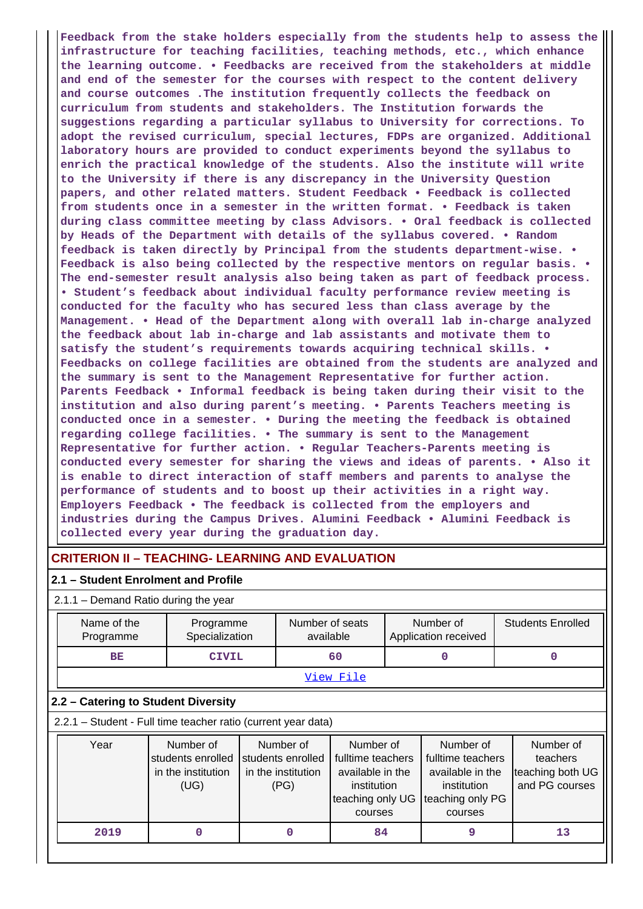**Feedback from the stake holders especially from the students help to assess the infrastructure for teaching facilities, teaching methods, etc., which enhance the learning outcome. • Feedbacks are received from the stakeholders at middle and end of the semester for the courses with respect to the content delivery and course outcomes .The institution frequently collects the feedback on curriculum from students and stakeholders. The Institution forwards the suggestions regarding a particular syllabus to University for corrections. To adopt the revised curriculum, special lectures, FDPs are organized. Additional laboratory hours are provided to conduct experiments beyond the syllabus to enrich the practical knowledge of the students. Also the institute will write to the University if there is any discrepancy in the University Question papers, and other related matters. Student Feedback • Feedback is collected from students once in a semester in the written format. • Feedback is taken during class committee meeting by class Advisors. • Oral feedback is collected by Heads of the Department with details of the syllabus covered. • Random feedback is taken directly by Principal from the students department-wise. • Feedback is also being collected by the respective mentors on regular basis. • The end-semester result analysis also being taken as part of feedback process. • Student's feedback about individual faculty performance review meeting is conducted for the faculty who has secured less than class average by the Management. • Head of the Department along with overall lab in-charge analyzed the feedback about lab in-charge and lab assistants and motivate them to satisfy the student's requirements towards acquiring technical skills. • Feedbacks on college facilities are obtained from the students are analyzed and the summary is sent to the Management Representative for further action. Parents Feedback • Informal feedback is being taken during their visit to the institution and also during parent's meeting. • Parents Teachers meeting is conducted once in a semester. • During the meeting the feedback is obtained regarding college facilities. • The summary is sent to the Management Representative for further action. • Regular Teachers-Parents meeting is conducted every semester for sharing the views and ideas of parents. • Also it is enable to direct interaction of staff members and parents to analyse the performance of students and to boost up their activities in a right way. Employers Feedback • The feedback is collected from the employers and industries during the Campus Drives. Alumini Feedback • Alumini Feedback is collected every year during the graduation day.**

## **CRITERION II – TEACHING- LEARNING AND EVALUATION**

#### **2.1 – Student Enrolment and Profile**

2.1.1 – Demand Ratio during the year

| Name of the<br>Programme                                      |                                                              | Programme<br>Specialization |                                                              | Number of seats<br>available                                                                     |   | Number of<br>Application received                                                                |          | <b>Students Enrolled</b>                                    |  |
|---------------------------------------------------------------|--------------------------------------------------------------|-----------------------------|--------------------------------------------------------------|--------------------------------------------------------------------------------------------------|---|--------------------------------------------------------------------------------------------------|----------|-------------------------------------------------------------|--|
| <b>BE</b>                                                     | <b>CIVIL</b>                                                 |                             |                                                              | 60                                                                                               | O |                                                                                                  | $\Omega$ |                                                             |  |
|                                                               |                                                              | <u>View File</u>            |                                                              |                                                                                                  |   |                                                                                                  |          |                                                             |  |
| 2.2 - Catering to Student Diversity                           |                                                              |                             |                                                              |                                                                                                  |   |                                                                                                  |          |                                                             |  |
| 2.2.1 - Student - Full time teacher ratio (current year data) |                                                              |                             |                                                              |                                                                                                  |   |                                                                                                  |          |                                                             |  |
| Year                                                          | Number of<br>students enrolled<br>in the institution<br>(UG) |                             | Number of<br>students enrolled<br>in the institution<br>(PG) | Number of<br>fulltime teachers<br>available in the<br>institution<br>teaching only UG<br>courses |   | Number of<br>fulltime teachers<br>available in the<br>institution<br>teaching only PG<br>courses |          | Number of<br>teachers<br>teaching both UG<br>and PG courses |  |
| 2019                                                          | 0                                                            |                             | 0                                                            | 84                                                                                               |   | 9                                                                                                |          | 13                                                          |  |
|                                                               |                                                              |                             |                                                              |                                                                                                  |   |                                                                                                  |          |                                                             |  |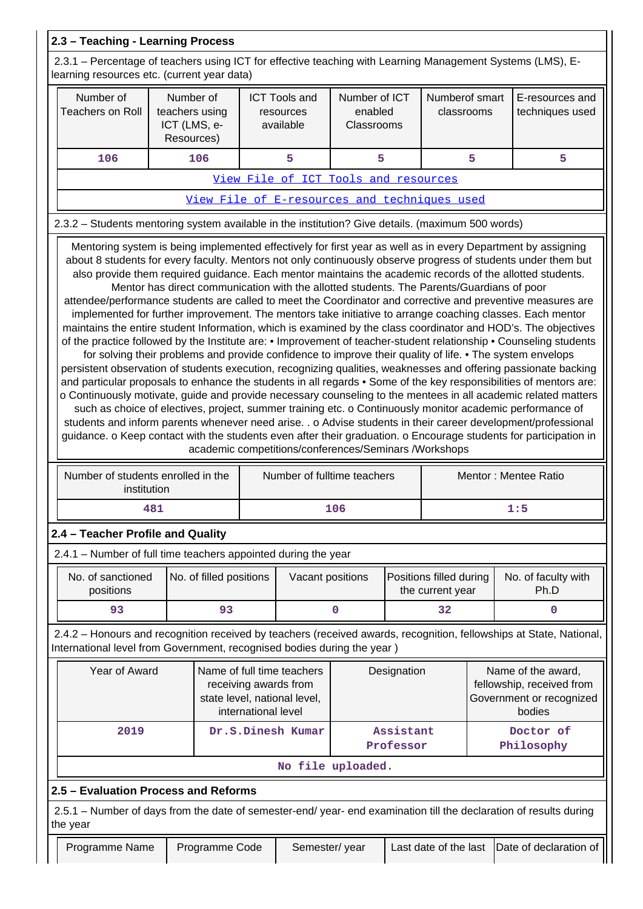| 2.3 - Teaching - Learning Process                                                                                                                                                                                                                                                                                                                                                                                                                                                                                                                                                                                                                                                                                                                                                                                                                                                                                                                                                                                                                                                                                                                                                                                                                                                                                                                                                                                                                                                                     |                                                                                                                                            |                         |  |                                                                                      |                                                                                       |  |                                             |     |                                    |
|-------------------------------------------------------------------------------------------------------------------------------------------------------------------------------------------------------------------------------------------------------------------------------------------------------------------------------------------------------------------------------------------------------------------------------------------------------------------------------------------------------------------------------------------------------------------------------------------------------------------------------------------------------------------------------------------------------------------------------------------------------------------------------------------------------------------------------------------------------------------------------------------------------------------------------------------------------------------------------------------------------------------------------------------------------------------------------------------------------------------------------------------------------------------------------------------------------------------------------------------------------------------------------------------------------------------------------------------------------------------------------------------------------------------------------------------------------------------------------------------------------|--------------------------------------------------------------------------------------------------------------------------------------------|-------------------------|--|--------------------------------------------------------------------------------------|---------------------------------------------------------------------------------------|--|---------------------------------------------|-----|------------------------------------|
| 2.3.1 - Percentage of teachers using ICT for effective teaching with Learning Management Systems (LMS), E-<br>learning resources etc. (current year data)                                                                                                                                                                                                                                                                                                                                                                                                                                                                                                                                                                                                                                                                                                                                                                                                                                                                                                                                                                                                                                                                                                                                                                                                                                                                                                                                             |                                                                                                                                            |                         |  |                                                                                      |                                                                                       |  |                                             |     |                                    |
| Number of<br><b>Teachers on Roll</b>                                                                                                                                                                                                                                                                                                                                                                                                                                                                                                                                                                                                                                                                                                                                                                                                                                                                                                                                                                                                                                                                                                                                                                                                                                                                                                                                                                                                                                                                  | Number of<br>teachers using<br>ICT (LMS, e-<br>Resources)                                                                                  |                         |  | <b>ICT Tools and</b><br>resources<br>available                                       | Number of ICT<br>enabled<br>Classrooms                                                |  | Numberof smart<br>classrooms                |     | E-resources and<br>techniques used |
| 106                                                                                                                                                                                                                                                                                                                                                                                                                                                                                                                                                                                                                                                                                                                                                                                                                                                                                                                                                                                                                                                                                                                                                                                                                                                                                                                                                                                                                                                                                                   |                                                                                                                                            | 106                     |  | 5                                                                                    | 5                                                                                     |  |                                             | 5   | 5                                  |
|                                                                                                                                                                                                                                                                                                                                                                                                                                                                                                                                                                                                                                                                                                                                                                                                                                                                                                                                                                                                                                                                                                                                                                                                                                                                                                                                                                                                                                                                                                       |                                                                                                                                            |                         |  | View File of ICT Tools and resources                                                 |                                                                                       |  |                                             |     |                                    |
| View File of E-resources and techniques used                                                                                                                                                                                                                                                                                                                                                                                                                                                                                                                                                                                                                                                                                                                                                                                                                                                                                                                                                                                                                                                                                                                                                                                                                                                                                                                                                                                                                                                          |                                                                                                                                            |                         |  |                                                                                      |                                                                                       |  |                                             |     |                                    |
| 2.3.2 - Students mentoring system available in the institution? Give details. (maximum 500 words)                                                                                                                                                                                                                                                                                                                                                                                                                                                                                                                                                                                                                                                                                                                                                                                                                                                                                                                                                                                                                                                                                                                                                                                                                                                                                                                                                                                                     |                                                                                                                                            |                         |  |                                                                                      |                                                                                       |  |                                             |     |                                    |
| also provide them required guidance. Each mentor maintains the academic records of the allotted students.<br>Mentor has direct communication with the allotted students. The Parents/Guardians of poor<br>attendee/performance students are called to meet the Coordinator and corrective and preventive measures are<br>implemented for further improvement. The mentors take initiative to arrange coaching classes. Each mentor<br>maintains the entire student Information, which is examined by the class coordinator and HOD's. The objectives<br>of the practice followed by the Institute are: • Improvement of teacher-student relationship • Counseling students<br>for solving their problems and provide confidence to improve their quality of life. • The system envelops<br>persistent observation of students execution, recognizing qualities, weaknesses and offering passionate backing<br>and particular proposals to enhance the students in all regards • Some of the key responsibilities of mentors are:<br>o Continuously motivate, guide and provide necessary counseling to the mentees in all academic related matters<br>such as choice of electives, project, summer training etc. o Continuously monitor academic performance of<br>students and inform parents whenever need arise. . o Advise students in their career development/professional<br>guidance. o Keep contact with the students even after their graduation. o Encourage students for participation in |                                                                                                                                            |                         |  |                                                                                      |                                                                                       |  |                                             |     |                                    |
| Number of students enrolled in the<br>institution                                                                                                                                                                                                                                                                                                                                                                                                                                                                                                                                                                                                                                                                                                                                                                                                                                                                                                                                                                                                                                                                                                                                                                                                                                                                                                                                                                                                                                                     |                                                                                                                                            |                         |  | academic competitions/conferences/Seminars /Workshops<br>Number of fulltime teachers |                                                                                       |  |                                             |     | Mentor: Mentee Ratio               |
|                                                                                                                                                                                                                                                                                                                                                                                                                                                                                                                                                                                                                                                                                                                                                                                                                                                                                                                                                                                                                                                                                                                                                                                                                                                                                                                                                                                                                                                                                                       | 481                                                                                                                                        |                         |  |                                                                                      | 106                                                                                   |  |                                             | 1:5 |                                    |
| 2.4 - Teacher Profile and Quality                                                                                                                                                                                                                                                                                                                                                                                                                                                                                                                                                                                                                                                                                                                                                                                                                                                                                                                                                                                                                                                                                                                                                                                                                                                                                                                                                                                                                                                                     |                                                                                                                                            |                         |  |                                                                                      |                                                                                       |  |                                             |     |                                    |
| 2.4.1 - Number of full time teachers appointed during the year                                                                                                                                                                                                                                                                                                                                                                                                                                                                                                                                                                                                                                                                                                                                                                                                                                                                                                                                                                                                                                                                                                                                                                                                                                                                                                                                                                                                                                        |                                                                                                                                            |                         |  |                                                                                      |                                                                                       |  |                                             |     |                                    |
| No. of sanctioned<br>positions                                                                                                                                                                                                                                                                                                                                                                                                                                                                                                                                                                                                                                                                                                                                                                                                                                                                                                                                                                                                                                                                                                                                                                                                                                                                                                                                                                                                                                                                        |                                                                                                                                            | No. of filled positions |  | Vacant positions                                                                     |                                                                                       |  | Positions filled during<br>the current year |     | No. of faculty with<br>Ph.D        |
| 93                                                                                                                                                                                                                                                                                                                                                                                                                                                                                                                                                                                                                                                                                                                                                                                                                                                                                                                                                                                                                                                                                                                                                                                                                                                                                                                                                                                                                                                                                                    |                                                                                                                                            | 93                      |  |                                                                                      | $\mathbf 0$                                                                           |  | 32                                          |     | 0                                  |
| 2.4.2 - Honours and recognition received by teachers (received awards, recognition, fellowships at State, National,<br>International level from Government, recognised bodies during the year)                                                                                                                                                                                                                                                                                                                                                                                                                                                                                                                                                                                                                                                                                                                                                                                                                                                                                                                                                                                                                                                                                                                                                                                                                                                                                                        |                                                                                                                                            |                         |  |                                                                                      |                                                                                       |  |                                             |     |                                    |
|                                                                                                                                                                                                                                                                                                                                                                                                                                                                                                                                                                                                                                                                                                                                                                                                                                                                                                                                                                                                                                                                                                                                                                                                                                                                                                                                                                                                                                                                                                       | Year of Award<br>Name of full time teachers<br>Designation<br>receiving awards from<br>state level, national level,<br>international level |                         |  |                                                                                      | Name of the award,<br>fellowship, received from<br>Government or recognized<br>bodies |  |                                             |     |                                    |
| 2019                                                                                                                                                                                                                                                                                                                                                                                                                                                                                                                                                                                                                                                                                                                                                                                                                                                                                                                                                                                                                                                                                                                                                                                                                                                                                                                                                                                                                                                                                                  |                                                                                                                                            |                         |  | Dr.S.Dinesh Kumar                                                                    | Assistant<br>Professor                                                                |  |                                             |     | Doctor of<br>Philosophy            |
|                                                                                                                                                                                                                                                                                                                                                                                                                                                                                                                                                                                                                                                                                                                                                                                                                                                                                                                                                                                                                                                                                                                                                                                                                                                                                                                                                                                                                                                                                                       |                                                                                                                                            |                         |  |                                                                                      | No file uploaded.                                                                     |  |                                             |     |                                    |
| 2.5 - Evaluation Process and Reforms                                                                                                                                                                                                                                                                                                                                                                                                                                                                                                                                                                                                                                                                                                                                                                                                                                                                                                                                                                                                                                                                                                                                                                                                                                                                                                                                                                                                                                                                  |                                                                                                                                            |                         |  |                                                                                      |                                                                                       |  |                                             |     |                                    |
| 2.5.1 – Number of days from the date of semester-end/ year- end examination till the declaration of results during<br>the year                                                                                                                                                                                                                                                                                                                                                                                                                                                                                                                                                                                                                                                                                                                                                                                                                                                                                                                                                                                                                                                                                                                                                                                                                                                                                                                                                                        |                                                                                                                                            |                         |  |                                                                                      |                                                                                       |  |                                             |     |                                    |
| Programme Name                                                                                                                                                                                                                                                                                                                                                                                                                                                                                                                                                                                                                                                                                                                                                                                                                                                                                                                                                                                                                                                                                                                                                                                                                                                                                                                                                                                                                                                                                        |                                                                                                                                            | Programme Code          |  | Semester/year                                                                        |                                                                                       |  | Last date of the last                       |     | Date of declaration of             |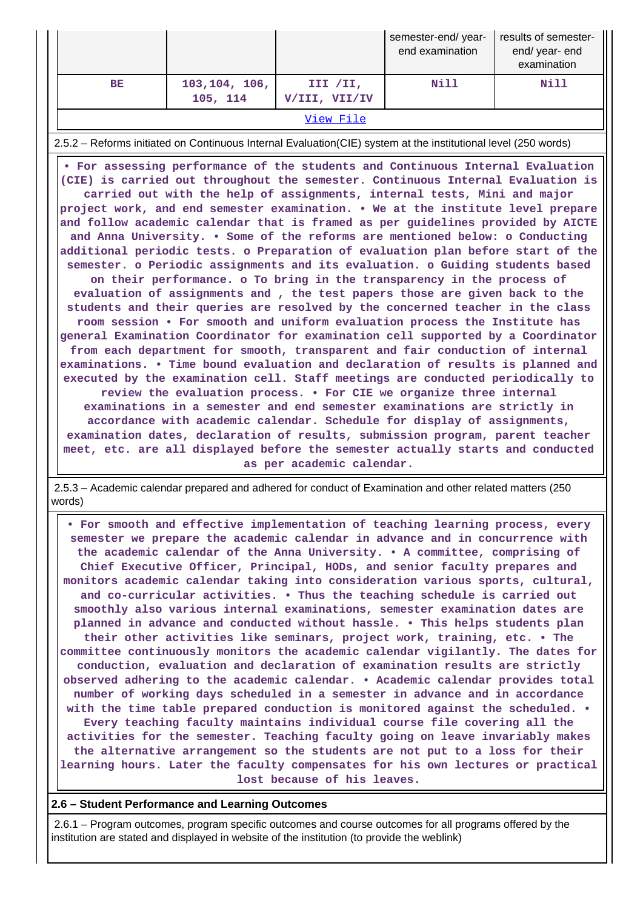|           |                            |                           | semester-end/year-<br>end examination | results of semester-<br>end/ year- end<br>examination |  |  |
|-----------|----------------------------|---------------------------|---------------------------------------|-------------------------------------------------------|--|--|
| BE        | 103, 104, 106,<br>105, 114 | III /II,<br>V/III, VII/IV | Nill                                  | <b>Nill</b>                                           |  |  |
| View File |                            |                           |                                       |                                                       |  |  |

2.5.2 – Reforms initiated on Continuous Internal Evaluation(CIE) system at the institutional level (250 words)

 **• For assessing performance of the students and Continuous Internal Evaluation (CIE) is carried out throughout the semester. Continuous Internal Evaluation is carried out with the help of assignments, internal tests, Mini and major project work, and end semester examination. • We at the institute level prepare and follow academic calendar that is framed as per guidelines provided by AICTE and Anna University. • Some of the reforms are mentioned below: o Conducting additional periodic tests. o Preparation of evaluation plan before start of the semester. o Periodic assignments and its evaluation. o Guiding students based on their performance. o To bring in the transparency in the process of evaluation of assignments and , the test papers those are given back to the students and their queries are resolved by the concerned teacher in the class room session • For smooth and uniform evaluation process the Institute has general Examination Coordinator for examination cell supported by a Coordinator from each department for smooth, transparent and fair conduction of internal examinations. • Time bound evaluation and declaration of results is planned and executed by the examination cell. Staff meetings are conducted periodically to review the evaluation process. • For CIE we organize three internal examinations in a semester and end semester examinations are strictly in accordance with academic calendar. Schedule for display of assignments, examination dates, declaration of results, submission program, parent teacher meet, etc. are all displayed before the semester actually starts and conducted as per academic calendar.**

 2.5.3 – Academic calendar prepared and adhered for conduct of Examination and other related matters (250 words)

 **• For smooth and effective implementation of teaching learning process, every semester we prepare the academic calendar in advance and in concurrence with the academic calendar of the Anna University. • A committee, comprising of Chief Executive Officer, Principal, HODs, and senior faculty prepares and monitors academic calendar taking into consideration various sports, cultural, and co-curricular activities. • Thus the teaching schedule is carried out smoothly also various internal examinations, semester examination dates are planned in advance and conducted without hassle. • This helps students plan their other activities like seminars, project work, training, etc. • The committee continuously monitors the academic calendar vigilantly. The dates for conduction, evaluation and declaration of examination results are strictly observed adhering to the academic calendar. • Academic calendar provides total number of working days scheduled in a semester in advance and in accordance with the time table prepared conduction is monitored against the scheduled. • Every teaching faculty maintains individual course file covering all the activities for the semester. Teaching faculty going on leave invariably makes the alternative arrangement so the students are not put to a loss for their learning hours. Later the faculty compensates for his own lectures or practical lost because of his leaves.**

## **2.6 – Student Performance and Learning Outcomes**

 2.6.1 – Program outcomes, program specific outcomes and course outcomes for all programs offered by the institution are stated and displayed in website of the institution (to provide the weblink)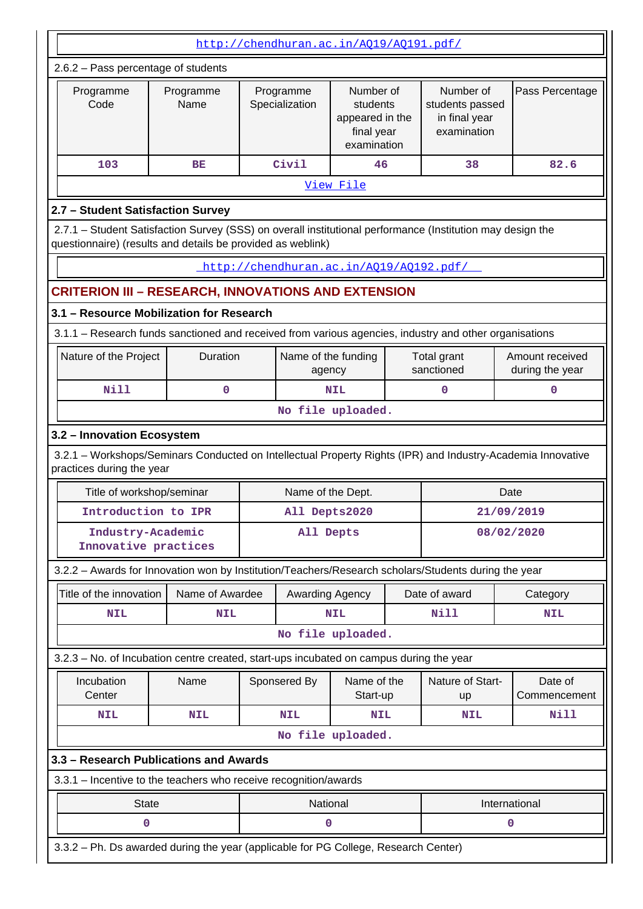| http://chendhuran.ac.in/A019/A0191.pdf/                                                                                                                                   |                                                                                                                                          |  |                               |                                                                       |  |                                                              |      |                                    |
|---------------------------------------------------------------------------------------------------------------------------------------------------------------------------|------------------------------------------------------------------------------------------------------------------------------------------|--|-------------------------------|-----------------------------------------------------------------------|--|--------------------------------------------------------------|------|------------------------------------|
| 2.6.2 - Pass percentage of students                                                                                                                                       |                                                                                                                                          |  |                               |                                                                       |  |                                                              |      |                                    |
| Programme<br>Code                                                                                                                                                         | Programme<br>Name                                                                                                                        |  | Programme<br>Specialization   | Number of<br>students<br>appeared in the<br>final year<br>examination |  | Number of<br>students passed<br>in final year<br>examination |      | Pass Percentage                    |
| 103                                                                                                                                                                       | BЕ                                                                                                                                       |  | Civil                         | 46                                                                    |  | 38                                                           |      | 82.6                               |
|                                                                                                                                                                           |                                                                                                                                          |  |                               | View File                                                             |  |                                                              |      |                                    |
| 2.7 - Student Satisfaction Survey                                                                                                                                         |                                                                                                                                          |  |                               |                                                                       |  |                                                              |      |                                    |
| 2.7.1 - Student Satisfaction Survey (SSS) on overall institutional performance (Institution may design the<br>questionnaire) (results and details be provided as weblink) |                                                                                                                                          |  |                               |                                                                       |  |                                                              |      |                                    |
| http://chendhuran.ac.in/A019/A0192.pdf/                                                                                                                                   |                                                                                                                                          |  |                               |                                                                       |  |                                                              |      |                                    |
| <b>CRITERION III - RESEARCH, INNOVATIONS AND EXTENSION</b>                                                                                                                |                                                                                                                                          |  |                               |                                                                       |  |                                                              |      |                                    |
| 3.1 - Resource Mobilization for Research                                                                                                                                  |                                                                                                                                          |  |                               |                                                                       |  |                                                              |      |                                    |
| 3.1.1 - Research funds sanctioned and received from various agencies, industry and other organisations                                                                    |                                                                                                                                          |  |                               |                                                                       |  |                                                              |      |                                    |
|                                                                                                                                                                           | Nature of the Project<br>Duration                                                                                                        |  | Name of the funding<br>agency |                                                                       |  | Total grant<br>sanctioned                                    |      | Amount received<br>during the year |
| <b>Nill</b>                                                                                                                                                               | 0                                                                                                                                        |  |                               | 0<br><b>NIL</b>                                                       |  |                                                              |      | $\mathbf 0$                        |
| No file uploaded.                                                                                                                                                         |                                                                                                                                          |  |                               |                                                                       |  |                                                              |      |                                    |
| 3.2 - Innovation Ecosystem                                                                                                                                                |                                                                                                                                          |  |                               |                                                                       |  |                                                              |      |                                    |
|                                                                                                                                                                           | 3.2.1 - Workshops/Seminars Conducted on Intellectual Property Rights (IPR) and Industry-Academia Innovative<br>practices during the year |  |                               |                                                                       |  |                                                              |      |                                    |
| Title of workshop/seminar                                                                                                                                                 |                                                                                                                                          |  | Name of the Dept.             |                                                                       |  |                                                              | Date |                                    |
| Introduction to IPR                                                                                                                                                       |                                                                                                                                          |  | All Depts2020                 |                                                                       |  |                                                              |      | 21/09/2019                         |
| Industry-Academic<br>Innovative practices                                                                                                                                 |                                                                                                                                          |  | All Depts                     |                                                                       |  |                                                              |      | 08/02/2020                         |
| 3.2.2 - Awards for Innovation won by Institution/Teachers/Research scholars/Students during the year                                                                      |                                                                                                                                          |  |                               |                                                                       |  |                                                              |      |                                    |
| Title of the innovation                                                                                                                                                   | Name of Awardee                                                                                                                          |  | Awarding Agency               |                                                                       |  | Date of award                                                |      | Category                           |
| <b>NIL</b>                                                                                                                                                                | <b>NIL</b>                                                                                                                               |  |                               | <b>NIL</b>                                                            |  | Nill                                                         |      | NIL                                |
|                                                                                                                                                                           |                                                                                                                                          |  |                               | No file uploaded.                                                     |  |                                                              |      |                                    |
| 3.2.3 – No. of Incubation centre created, start-ups incubated on campus during the year                                                                                   |                                                                                                                                          |  |                               |                                                                       |  |                                                              |      |                                    |
| Incubation<br>Center                                                                                                                                                      | Name                                                                                                                                     |  | Sponsered By                  | Name of the<br>Start-up                                               |  | Nature of Start-<br>up                                       |      | Date of<br>Commencement            |
| <b>NIL</b>                                                                                                                                                                | <b>NIL</b>                                                                                                                               |  | <b>NIL</b>                    | <b>NIL</b>                                                            |  | <b>NIL</b>                                                   |      | Nill                               |
|                                                                                                                                                                           |                                                                                                                                          |  |                               | No file uploaded.                                                     |  |                                                              |      |                                    |
| 3.3 - Research Publications and Awards                                                                                                                                    |                                                                                                                                          |  |                               |                                                                       |  |                                                              |      |                                    |
| 3.3.1 - Incentive to the teachers who receive recognition/awards                                                                                                          |                                                                                                                                          |  |                               |                                                                       |  |                                                              |      |                                    |
| <b>State</b>                                                                                                                                                              |                                                                                                                                          |  | National                      |                                                                       |  |                                                              |      | International                      |
| 0                                                                                                                                                                         |                                                                                                                                          |  | 0                             |                                                                       |  |                                                              | 0    |                                    |
| 3.3.2 - Ph. Ds awarded during the year (applicable for PG College, Research Center)                                                                                       |                                                                                                                                          |  |                               |                                                                       |  |                                                              |      |                                    |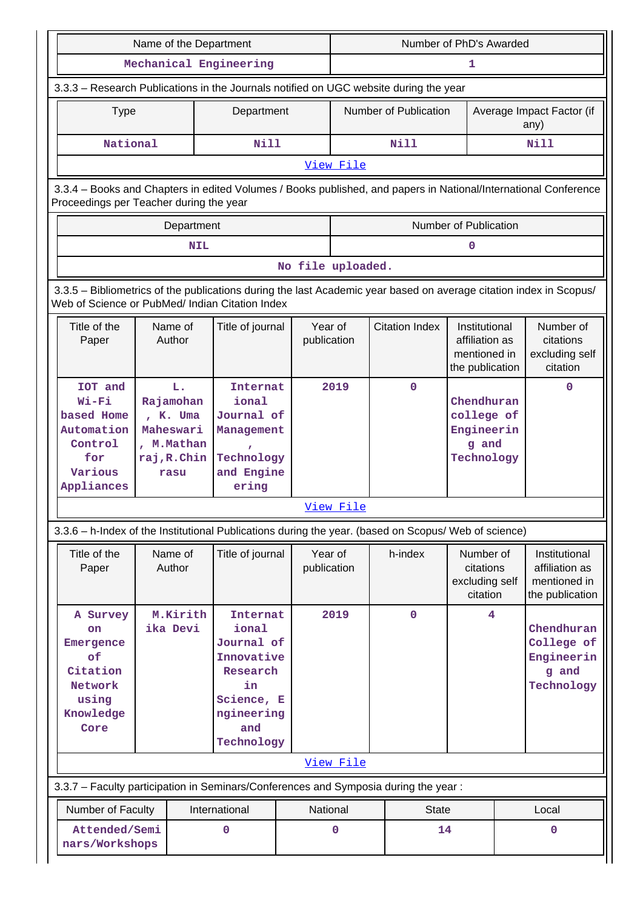|                                                                                                                    | Name of the Department                                                                                                                                     |            |                                                                                    |      |                        | Number of PhD's Awarded |                       |                                                                    |                                                               |                                                                    |
|--------------------------------------------------------------------------------------------------------------------|------------------------------------------------------------------------------------------------------------------------------------------------------------|------------|------------------------------------------------------------------------------------|------|------------------------|-------------------------|-----------------------|--------------------------------------------------------------------|---------------------------------------------------------------|--------------------------------------------------------------------|
|                                                                                                                    |                                                                                                                                                            |            | Mechanical Engineering                                                             |      |                        | 1                       |                       |                                                                    |                                                               |                                                                    |
|                                                                                                                    | 3.3.3 - Research Publications in the Journals notified on UGC website during the year                                                                      |            |                                                                                    |      |                        |                         |                       |                                                                    |                                                               |                                                                    |
| <b>Type</b>                                                                                                        |                                                                                                                                                            |            | Department                                                                         |      |                        |                         | Number of Publication |                                                                    | Average Impact Factor (if<br>any)                             |                                                                    |
| National                                                                                                           |                                                                                                                                                            |            | Nill                                                                               |      |                        |                         | Nill                  |                                                                    |                                                               | Nill                                                               |
|                                                                                                                    |                                                                                                                                                            |            |                                                                                    |      | View File              |                         |                       |                                                                    |                                                               |                                                                    |
|                                                                                                                    | 3.3.4 - Books and Chapters in edited Volumes / Books published, and papers in National/International Conference<br>Proceedings per Teacher during the year |            |                                                                                    |      |                        |                         |                       |                                                                    |                                                               |                                                                    |
|                                                                                                                    | Department                                                                                                                                                 |            |                                                                                    |      |                        |                         |                       | Number of Publication                                              |                                                               |                                                                    |
|                                                                                                                    |                                                                                                                                                            | <b>NIL</b> |                                                                                    |      |                        |                         |                       | 0                                                                  |                                                               |                                                                    |
|                                                                                                                    |                                                                                                                                                            |            |                                                                                    |      | No file uploaded.      |                         |                       |                                                                    |                                                               |                                                                    |
| 3.3.5 - Bibliometrics of the publications during the last Academic year based on average citation index in Scopus/ |                                                                                                                                                            |            |                                                                                    |      |                        |                         |                       |                                                                    |                                                               |                                                                    |
| Web of Science or PubMed/ Indian Citation Index                                                                    |                                                                                                                                                            |            |                                                                                    |      |                        |                         |                       |                                                                    |                                                               |                                                                    |
| Title of the<br>Paper                                                                                              | Name of<br>Author                                                                                                                                          |            | Title of journal                                                                   |      | Year of<br>publication |                         | <b>Citation Index</b> | Institutional<br>affiliation as<br>mentioned in<br>the publication |                                                               | Number of<br>citations<br>excluding self<br>citation               |
| IOT and<br>Wi-Fi<br>based Home<br>Automation<br>Control<br>for<br>Various<br>Appliances                            | L.<br>Rajamohan<br>, K. Uma<br>Maheswari<br>, M.Mathan<br>raj, R. Chin<br>rasu                                                                             |            | Internat<br>ional<br>Journal of<br>Management<br>Technology<br>and Engine<br>ering | 2019 |                        |                         | $\mathbf 0$           | Chendhuran<br>college of<br>Engineerin<br>g and<br>Technology      |                                                               | 0                                                                  |
|                                                                                                                    |                                                                                                                                                            |            |                                                                                    |      | View File              |                         |                       |                                                                    |                                                               |                                                                    |
| 3.3.6 - h-Index of the Institutional Publications during the year. (based on Scopus/ Web of science)               |                                                                                                                                                            |            |                                                                                    |      |                        |                         |                       |                                                                    |                                                               |                                                                    |
| Title of the<br>Paper                                                                                              | Name of<br>Author                                                                                                                                          |            | Title of journal                                                                   |      | Year of<br>publication |                         | h-index               | Number of<br>citations<br>excluding self<br>citation               |                                                               | Institutional<br>affiliation as<br>mentioned in<br>the publication |
| A Survey<br>on<br>Emergence<br>of<br>Citation<br>Network<br>using<br>Knowledge<br>Core                             | M.Kirith<br>Internat<br>ika Devi<br>ional<br>Journal of<br>Innovative<br>Research<br>in<br>Science, E<br>ngineering<br>and<br>Technology                   |            |                                                                                    | 2019 |                        | $\mathbf 0$             | 4                     |                                                                    | Chendhuran<br>College of<br>Engineerin<br>g and<br>Technology |                                                                    |
|                                                                                                                    |                                                                                                                                                            |            |                                                                                    |      | View File              |                         |                       |                                                                    |                                                               |                                                                    |
| 3.3.7 - Faculty participation in Seminars/Conferences and Symposia during the year:                                |                                                                                                                                                            |            |                                                                                    |      |                        |                         |                       |                                                                    |                                                               |                                                                    |
| Number of Faculty                                                                                                  |                                                                                                                                                            |            | International                                                                      |      | National               |                         | <b>State</b>          |                                                                    |                                                               | Local                                                              |
| Attended/Semi<br>nars/Workshops                                                                                    |                                                                                                                                                            |            | 0                                                                                  |      | $\mathbf 0$            |                         | 14                    |                                                                    |                                                               | 0                                                                  |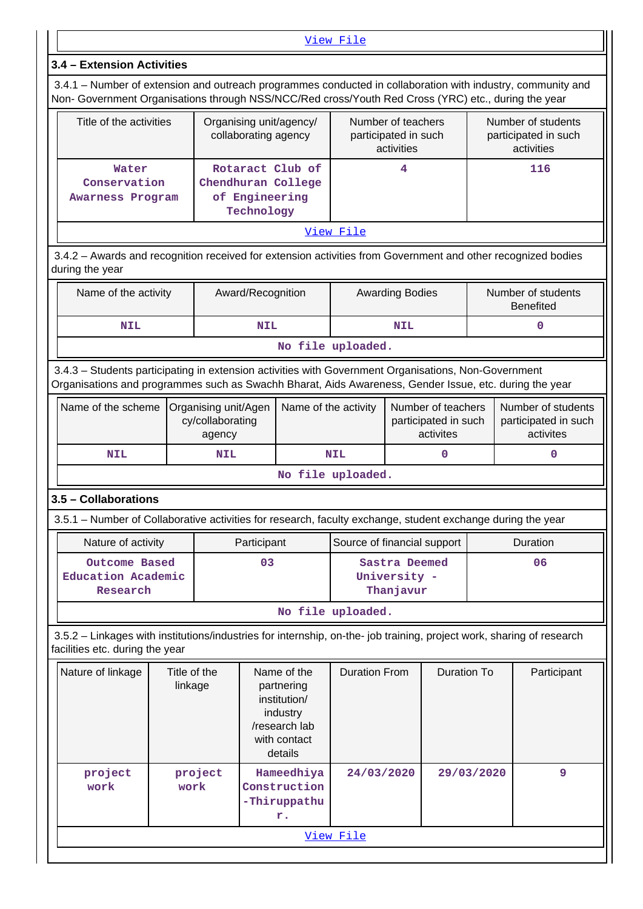|                                                                                                                                                                                                                | View File                                                                                                                                                                                                          |                                                                                                                              |                                                                        |                                                 |                                                  |                      |                                                                                                                                                                                                                                                                                                                                                                                                                                                                                                                                                                                                                                                                                                                                              |  |  |                                                          |  |
|----------------------------------------------------------------------------------------------------------------------------------------------------------------------------------------------------------------|--------------------------------------------------------------------------------------------------------------------------------------------------------------------------------------------------------------------|------------------------------------------------------------------------------------------------------------------------------|------------------------------------------------------------------------|-------------------------------------------------|--------------------------------------------------|----------------------|----------------------------------------------------------------------------------------------------------------------------------------------------------------------------------------------------------------------------------------------------------------------------------------------------------------------------------------------------------------------------------------------------------------------------------------------------------------------------------------------------------------------------------------------------------------------------------------------------------------------------------------------------------------------------------------------------------------------------------------------|--|--|----------------------------------------------------------|--|
|                                                                                                                                                                                                                | 3.4 - Extension Activities                                                                                                                                                                                         |                                                                                                                              |                                                                        |                                                 |                                                  |                      |                                                                                                                                                                                                                                                                                                                                                                                                                                                                                                                                                                                                                                                                                                                                              |  |  |                                                          |  |
|                                                                                                                                                                                                                | 3.4.1 – Number of extension and outreach programmes conducted in collaboration with industry, community and<br>Non- Government Organisations through NSS/NCC/Red cross/Youth Red Cross (YRC) etc., during the year |                                                                                                                              |                                                                        |                                                 |                                                  |                      |                                                                                                                                                                                                                                                                                                                                                                                                                                                                                                                                                                                                                                                                                                                                              |  |  |                                                          |  |
|                                                                                                                                                                                                                | Title of the activities                                                                                                                                                                                            |                                                                                                                              |                                                                        | Organising unit/agency/<br>collaborating agency |                                                  |                      | Number of teachers<br>participated in such<br>activities                                                                                                                                                                                                                                                                                                                                                                                                                                                                                                                                                                                                                                                                                     |  |  | Number of students<br>participated in such<br>activities |  |
|                                                                                                                                                                                                                | Water<br>Conservation<br><b>Awarness Program</b>                                                                                                                                                                   |                                                                                                                              | Rotaract Club of<br>Chendhuran College<br>of Engineering<br>Technology |                                                 | 4                                                |                      | 116                                                                                                                                                                                                                                                                                                                                                                                                                                                                                                                                                                                                                                                                                                                                          |  |  |                                                          |  |
|                                                                                                                                                                                                                |                                                                                                                                                                                                                    |                                                                                                                              |                                                                        |                                                 |                                                  | View File            |                                                                                                                                                                                                                                                                                                                                                                                                                                                                                                                                                                                                                                                                                                                                              |  |  |                                                          |  |
|                                                                                                                                                                                                                | during the year                                                                                                                                                                                                    |                                                                                                                              |                                                                        |                                                 |                                                  |                      |                                                                                                                                                                                                                                                                                                                                                                                                                                                                                                                                                                                                                                                                                                                                              |  |  |                                                          |  |
|                                                                                                                                                                                                                | Name of the activity                                                                                                                                                                                               |                                                                                                                              |                                                                        | Award/Recognition                               |                                                  |                      | 3.4.2 - Awards and recognition received for extension activities from Government and other recognized bodies<br>Number of students<br><b>Awarding Bodies</b><br><b>Benefited</b><br>0<br><b>NIL</b><br>Number of students<br>Number of teachers<br>participated in such<br>participated in such<br>activites<br>activites<br>0<br>$\mathbf 0$<br>3.5.1 – Number of Collaborative activities for research, faculty exchange, student exchange during the year<br>Duration<br>Source of financial support<br>Sastra Deemed<br>06<br>University -<br>Thanjavur<br>3.5.2 - Linkages with institutions/industries for internship, on-the- job training, project work, sharing of research<br><b>Duration To</b><br>Participant<br>9<br>29/03/2020 |  |  |                                                          |  |
|                                                                                                                                                                                                                | <b>NIL</b>                                                                                                                                                                                                         |                                                                                                                              |                                                                        | <b>NIL</b>                                      |                                                  |                      |                                                                                                                                                                                                                                                                                                                                                                                                                                                                                                                                                                                                                                                                                                                                              |  |  |                                                          |  |
|                                                                                                                                                                                                                | No file uploaded.                                                                                                                                                                                                  |                                                                                                                              |                                                                        |                                                 |                                                  |                      |                                                                                                                                                                                                                                                                                                                                                                                                                                                                                                                                                                                                                                                                                                                                              |  |  |                                                          |  |
| 3.4.3 - Students participating in extension activities with Government Organisations, Non-Government<br>Organisations and programmes such as Swachh Bharat, Aids Awareness, Gender Issue, etc. during the year |                                                                                                                                                                                                                    |                                                                                                                              |                                                                        |                                                 |                                                  |                      |                                                                                                                                                                                                                                                                                                                                                                                                                                                                                                                                                                                                                                                                                                                                              |  |  |                                                          |  |
|                                                                                                                                                                                                                | Name of the scheme                                                                                                                                                                                                 |                                                                                                                              | agency                                                                 | Organising unit/Agen<br>cy/collaborating        |                                                  | Name of the activity |                                                                                                                                                                                                                                                                                                                                                                                                                                                                                                                                                                                                                                                                                                                                              |  |  |                                                          |  |
|                                                                                                                                                                                                                | <b>NIL</b>                                                                                                                                                                                                         |                                                                                                                              | <b>NIL</b>                                                             |                                                 |                                                  | <b>NIL</b>           |                                                                                                                                                                                                                                                                                                                                                                                                                                                                                                                                                                                                                                                                                                                                              |  |  |                                                          |  |
|                                                                                                                                                                                                                |                                                                                                                                                                                                                    |                                                                                                                              |                                                                        |                                                 |                                                  | No file uploaded.    |                                                                                                                                                                                                                                                                                                                                                                                                                                                                                                                                                                                                                                                                                                                                              |  |  |                                                          |  |
|                                                                                                                                                                                                                | 3.5 - Collaborations                                                                                                                                                                                               |                                                                                                                              |                                                                        |                                                 |                                                  |                      |                                                                                                                                                                                                                                                                                                                                                                                                                                                                                                                                                                                                                                                                                                                                              |  |  |                                                          |  |
|                                                                                                                                                                                                                |                                                                                                                                                                                                                    |                                                                                                                              |                                                                        |                                                 |                                                  |                      |                                                                                                                                                                                                                                                                                                                                                                                                                                                                                                                                                                                                                                                                                                                                              |  |  |                                                          |  |
|                                                                                                                                                                                                                | Nature of activity                                                                                                                                                                                                 |                                                                                                                              |                                                                        | Participant                                     |                                                  |                      |                                                                                                                                                                                                                                                                                                                                                                                                                                                                                                                                                                                                                                                                                                                                              |  |  |                                                          |  |
|                                                                                                                                                                                                                | Outcome Based<br>Education Academic<br>Research                                                                                                                                                                    |                                                                                                                              |                                                                        | 03                                              |                                                  |                      |                                                                                                                                                                                                                                                                                                                                                                                                                                                                                                                                                                                                                                                                                                                                              |  |  |                                                          |  |
|                                                                                                                                                                                                                |                                                                                                                                                                                                                    |                                                                                                                              |                                                                        |                                                 |                                                  | No file uploaded.    |                                                                                                                                                                                                                                                                                                                                                                                                                                                                                                                                                                                                                                                                                                                                              |  |  |                                                          |  |
|                                                                                                                                                                                                                | facilities etc. during the year                                                                                                                                                                                    |                                                                                                                              |                                                                        |                                                 |                                                  |                      |                                                                                                                                                                                                                                                                                                                                                                                                                                                                                                                                                                                                                                                                                                                                              |  |  |                                                          |  |
|                                                                                                                                                                                                                | Nature of linkage                                                                                                                                                                                                  | Title of the<br>Name of the<br>linkage<br>partnering<br>institution/<br>industry<br>/research lab<br>with contact<br>details |                                                                        |                                                 | <b>Duration From</b>                             |                      |                                                                                                                                                                                                                                                                                                                                                                                                                                                                                                                                                                                                                                                                                                                                              |  |  |                                                          |  |
|                                                                                                                                                                                                                | project<br>work                                                                                                                                                                                                    | work                                                                                                                         | project                                                                |                                                 | Hameedhiya<br>Construction<br>-Thiruppathu<br>r. | 24/03/2020           |                                                                                                                                                                                                                                                                                                                                                                                                                                                                                                                                                                                                                                                                                                                                              |  |  |                                                          |  |

[View File](https://assessmentonline.naac.gov.in/public/Postacc/Linkages/7479_Linkages_1640859461.xls)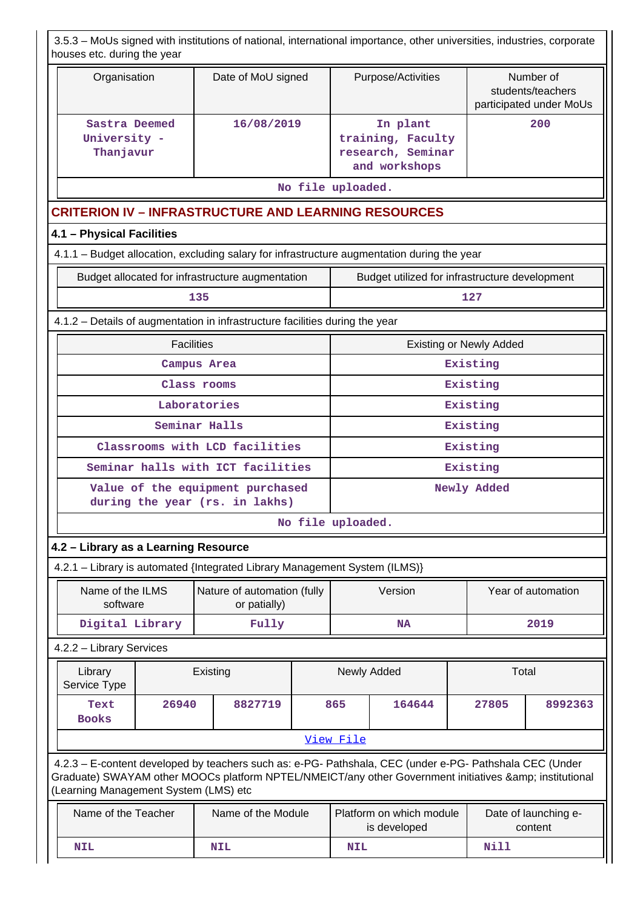|                          | 3.5.3 - MoUs signed with institutions of national, international importance, other universities, industries, corporate<br>houses etc. during the year |                   |                                                                                                                                                                                                                |                   |                                                                             |                                                                     |      |                                |                                                           |  |
|--------------------------|-------------------------------------------------------------------------------------------------------------------------------------------------------|-------------------|----------------------------------------------------------------------------------------------------------------------------------------------------------------------------------------------------------------|-------------------|-----------------------------------------------------------------------------|---------------------------------------------------------------------|------|--------------------------------|-----------------------------------------------------------|--|
|                          | Organisation                                                                                                                                          |                   | Date of MoU signed                                                                                                                                                                                             |                   |                                                                             | Purpose/Activities                                                  |      |                                | Number of<br>students/teachers<br>participated under MoUs |  |
|                          | Sastra Deemed<br>University -<br>Thanjavur                                                                                                            |                   | 16/08/2019                                                                                                                                                                                                     |                   |                                                                             | In plant<br>training, Faculty<br>research, Seminar<br>and workshops |      |                                | 200                                                       |  |
|                          |                                                                                                                                                       |                   |                                                                                                                                                                                                                |                   | No file uploaded.                                                           |                                                                     |      |                                |                                                           |  |
|                          |                                                                                                                                                       |                   | <b>CRITERION IV - INFRASTRUCTURE AND LEARNING RESOURCES</b>                                                                                                                                                    |                   |                                                                             |                                                                     |      |                                |                                                           |  |
|                          | 4.1 - Physical Facilities                                                                                                                             |                   |                                                                                                                                                                                                                |                   |                                                                             |                                                                     |      |                                |                                                           |  |
|                          |                                                                                                                                                       |                   | 4.1.1 - Budget allocation, excluding salary for infrastructure augmentation during the year                                                                                                                    |                   |                                                                             |                                                                     |      |                                |                                                           |  |
|                          |                                                                                                                                                       |                   | Budget allocated for infrastructure augmentation                                                                                                                                                               |                   |                                                                             | Budget utilized for infrastructure development                      |      |                                |                                                           |  |
|                          |                                                                                                                                                       |                   | 135                                                                                                                                                                                                            |                   |                                                                             |                                                                     |      | 127                            |                                                           |  |
|                          |                                                                                                                                                       |                   | 4.1.2 – Details of augmentation in infrastructure facilities during the year                                                                                                                                   |                   |                                                                             |                                                                     |      |                                |                                                           |  |
|                          |                                                                                                                                                       | <b>Facilities</b> |                                                                                                                                                                                                                |                   |                                                                             |                                                                     |      | <b>Existing or Newly Added</b> |                                                           |  |
|                          | Campus Area                                                                                                                                           |                   |                                                                                                                                                                                                                |                   |                                                                             |                                                                     |      | Existing                       |                                                           |  |
|                          | Class rooms                                                                                                                                           |                   |                                                                                                                                                                                                                |                   |                                                                             |                                                                     |      | Existing                       |                                                           |  |
|                          | Laboratories                                                                                                                                          |                   |                                                                                                                                                                                                                |                   |                                                                             | Existing                                                            |      |                                |                                                           |  |
|                          | Seminar Halls                                                                                                                                         |                   |                                                                                                                                                                                                                |                   |                                                                             |                                                                     |      | Existing                       |                                                           |  |
|                          | Classrooms with LCD facilities                                                                                                                        |                   |                                                                                                                                                                                                                |                   |                                                                             |                                                                     |      | Existing                       |                                                           |  |
|                          |                                                                                                                                                       |                   | Seminar halls with ICT facilities                                                                                                                                                                              |                   |                                                                             |                                                                     |      | Existing                       |                                                           |  |
|                          |                                                                                                                                                       |                   | Value of the equipment purchased<br>during the year (rs. in lakhs)                                                                                                                                             |                   | Newly Added                                                                 |                                                                     |      |                                |                                                           |  |
|                          |                                                                                                                                                       |                   |                                                                                                                                                                                                                | No file uploaded. |                                                                             |                                                                     |      |                                |                                                           |  |
|                          | 4.2 - Library as a Learning Resource                                                                                                                  |                   |                                                                                                                                                                                                                |                   |                                                                             |                                                                     |      |                                |                                                           |  |
|                          |                                                                                                                                                       |                   | 4.2.1 - Library is automated {Integrated Library Management System (ILMS)}                                                                                                                                     |                   |                                                                             |                                                                     |      |                                |                                                           |  |
|                          | Name of the ILMS<br>software                                                                                                                          |                   | Nature of automation (fully<br>or patially)                                                                                                                                                                    |                   |                                                                             | Version                                                             |      |                                | Year of automation                                        |  |
|                          | Digital Library                                                                                                                                       |                   | Fully                                                                                                                                                                                                          |                   |                                                                             | <b>NA</b>                                                           |      |                                | 2019                                                      |  |
|                          | 4.2.2 - Library Services                                                                                                                              |                   |                                                                                                                                                                                                                |                   |                                                                             |                                                                     |      |                                |                                                           |  |
|                          | Library<br>Service Type                                                                                                                               |                   | Existing                                                                                                                                                                                                       |                   |                                                                             | Newly Added                                                         |      | Total                          |                                                           |  |
|                          | Text<br><b>Books</b>                                                                                                                                  | 26940             | 8827719                                                                                                                                                                                                        |                   | 865                                                                         | 164644                                                              |      | 27805                          | 8992363                                                   |  |
|                          |                                                                                                                                                       |                   |                                                                                                                                                                                                                |                   | View File                                                                   |                                                                     |      |                                |                                                           |  |
|                          | (Learning Management System (LMS) etc                                                                                                                 |                   | 4.2.3 - E-content developed by teachers such as: e-PG- Pathshala, CEC (under e-PG- Pathshala CEC (Under<br>Graduate) SWAYAM other MOOCs platform NPTEL/NMEICT/any other Government initiatives & institutional |                   |                                                                             |                                                                     |      |                                |                                                           |  |
|                          | Name of the Teacher                                                                                                                                   |                   | Name of the Module                                                                                                                                                                                             |                   | Platform on which module<br>Date of launching e-<br>is developed<br>content |                                                                     |      |                                |                                                           |  |
| <b>NIL</b><br><b>NIL</b> |                                                                                                                                                       |                   |                                                                                                                                                                                                                | <b>NIL</b>        |                                                                             |                                                                     | Nill |                                |                                                           |  |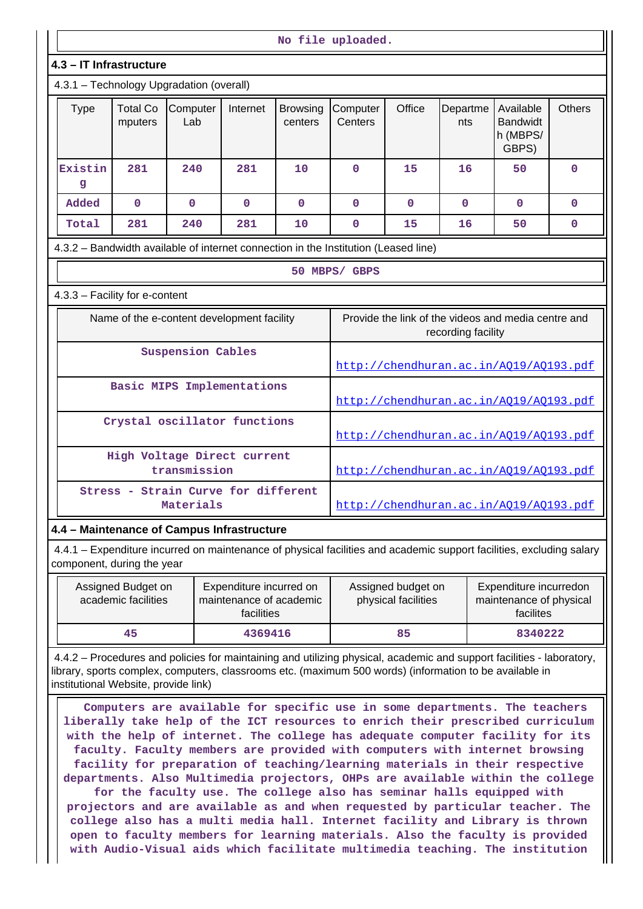| No file uploaded.                                                                                                                                  |                                                                                                               |                 |              |                                                                                                             |                                        |              |                    |                                                                                                                                                                                                                                  |               |
|----------------------------------------------------------------------------------------------------------------------------------------------------|---------------------------------------------------------------------------------------------------------------|-----------------|--------------|-------------------------------------------------------------------------------------------------------------|----------------------------------------|--------------|--------------------|----------------------------------------------------------------------------------------------------------------------------------------------------------------------------------------------------------------------------------|---------------|
| 4.3 - IT Infrastructure                                                                                                                            |                                                                                                               |                 |              |                                                                                                             |                                        |              |                    |                                                                                                                                                                                                                                  |               |
| 4.3.1 - Technology Upgradation (overall)                                                                                                           |                                                                                                               |                 |              |                                                                                                             |                                        |              |                    |                                                                                                                                                                                                                                  |               |
| <b>Type</b>                                                                                                                                        | <b>Total Co</b><br>mputers                                                                                    | Computer<br>Lab | Internet     | <b>Browsing</b><br>centers                                                                                  | Computer<br>Centers                    | Office       | Departme<br>nts    | Available<br><b>Bandwidt</b><br>h (MBPS/<br>GBPS)                                                                                                                                                                                | <b>Others</b> |
| Existin<br>g                                                                                                                                       | 281                                                                                                           | 240             | 281          | 10                                                                                                          | $\mathbf 0$                            | 15           | 16                 | 50                                                                                                                                                                                                                               | $\Omega$      |
| Added                                                                                                                                              | $\mathbf{0}$                                                                                                  | $\mathbf{O}$    | $\mathbf{0}$ | $\mathbf{0}$                                                                                                | $\mathbf 0$                            | $\mathbf{0}$ | $\Omega$           | $\Omega$                                                                                                                                                                                                                         | $\mathbf{0}$  |
| Total                                                                                                                                              | 281                                                                                                           | 240             | 281          | 10                                                                                                          | 0                                      | 15           | 16                 | 50                                                                                                                                                                                                                               | 0             |
| 4.3.2 – Bandwidth available of internet connection in the Institution (Leased line)                                                                |                                                                                                               |                 |              |                                                                                                             |                                        |              |                    |                                                                                                                                                                                                                                  |               |
|                                                                                                                                                    |                                                                                                               |                 |              |                                                                                                             | 50 MBPS/ GBPS                          |              |                    |                                                                                                                                                                                                                                  |               |
| 4.3.3 - Facility for e-content                                                                                                                     |                                                                                                               |                 |              |                                                                                                             |                                        |              |                    |                                                                                                                                                                                                                                  |               |
| Name of the e-content development facility                                                                                                         |                                                                                                               |                 |              |                                                                                                             |                                        |              | recording facility | Provide the link of the videos and media centre and                                                                                                                                                                              |               |
|                                                                                                                                                    | <b>Suspension Cables</b>                                                                                      |                 |              |                                                                                                             |                                        |              |                    | http://chendhuran.ac.in/A019/A0193.pdf                                                                                                                                                                                           |               |
|                                                                                                                                                    | Basic MIPS Implementations                                                                                    |                 |              |                                                                                                             |                                        |              |                    | http://chendhuran.ac.in/AQ19/AQ193.pdf                                                                                                                                                                                           |               |
|                                                                                                                                                    | Crystal oscillator functions                                                                                  |                 |              |                                                                                                             | http://chendhuran.ac.in/AQ19/AQ193.pdf |              |                    |                                                                                                                                                                                                                                  |               |
|                                                                                                                                                    | High Voltage Direct current                                                                                   | transmission    |              |                                                                                                             | http://chendhuran.ac.in/A019/A0193.pdf |              |                    |                                                                                                                                                                                                                                  |               |
|                                                                                                                                                    | Stress - Strain Curve for different                                                                           | Materials       |              |                                                                                                             | http://chendhuran.ac.in/A019/A0193.pdf |              |                    |                                                                                                                                                                                                                                  |               |
| 4.4 - Maintenance of Campus Infrastructure                                                                                                         |                                                                                                               |                 |              |                                                                                                             |                                        |              |                    |                                                                                                                                                                                                                                  |               |
| 4.4.1 - Expenditure incurred on maintenance of physical facilities and academic support facilities, excluding salary<br>component, during the year |                                                                                                               |                 |              |                                                                                                             |                                        |              |                    |                                                                                                                                                                                                                                  |               |
|                                                                                                                                                    | Expenditure incurred on<br>Assigned Budget on<br>academic facilities<br>maintenance of academic<br>facilities |                 |              | Expenditure incurredon<br>Assigned budget on<br>physical facilities<br>maintenance of physical<br>facilites |                                        |              |                    |                                                                                                                                                                                                                                  |               |
|                                                                                                                                                    | 45                                                                                                            |                 | 4369416      |                                                                                                             |                                        | 85           |                    | 8340222                                                                                                                                                                                                                          |               |
|                                                                                                                                                    | institutional Website, provide link)                                                                          |                 |              |                                                                                                             |                                        |              |                    | 4.4.2 – Procedures and policies for maintaining and utilizing physical, academic and support facilities - laboratory,<br>library, sports complex, computers, classrooms etc. (maximum 500 words) (information to be available in |               |

 **Computers are available for specific use in some departments. The teachers liberally take help of the ICT resources to enrich their prescribed curriculum with the help of internet. The college has adequate computer facility for its faculty. Faculty members are provided with computers with internet browsing facility for preparation of teaching/learning materials in their respective departments. Also Multimedia projectors, OHPs are available within the college for the faculty use. The college also has seminar halls equipped with projectors and are available as and when requested by particular teacher. The college also has a multi media hall. Internet facility and Library is thrown open to faculty members for learning materials. Also the faculty is provided with Audio-Visual aids which facilitate multimedia teaching. The institution**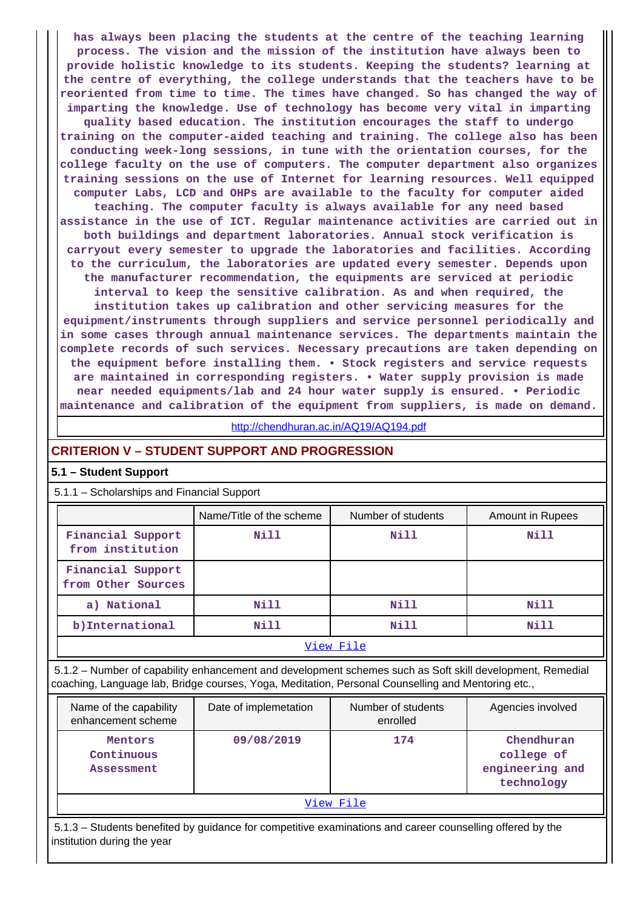**has always been placing the students at the centre of the teaching learning process. The vision and the mission of the institution have always been to provide holistic knowledge to its students. Keeping the students? learning at the centre of everything, the college understands that the teachers have to be reoriented from time to time. The times have changed. So has changed the way of imparting the knowledge. Use of technology has become very vital in imparting quality based education. The institution encourages the staff to undergo training on the computer-aided teaching and training. The college also has been conducting week-long sessions, in tune with the orientation courses, for the college faculty on the use of computers. The computer department also organizes training sessions on the use of Internet for learning resources. Well equipped computer Labs, LCD and OHPs are available to the faculty for computer aided teaching. The computer faculty is always available for any need based assistance in the use of ICT. Regular maintenance activities are carried out in both buildings and department laboratories. Annual stock verification is carryout every semester to upgrade the laboratories and facilities. According to the curriculum, the laboratories are updated every semester. Depends upon the manufacturer recommendation, the equipments are serviced at periodic interval to keep the sensitive calibration. As and when required, the**

**institution takes up calibration and other servicing measures for the equipment/instruments through suppliers and service personnel periodically and in some cases through annual maintenance services. The departments maintain the complete records of such services. Necessary precautions are taken depending on the equipment before installing them. • Stock registers and service requests are maintained in corresponding registers. • Water supply provision is made near needed equipments/lab and 24 hour water supply is ensured. • Periodic maintenance and calibration of the equipment from suppliers, is made on demand.**

<http://chendhuran.ac.in/AQ19/AQ194.pdf>

#### **CRITERION V – STUDENT SUPPORT AND PROGRESSION**

#### **5.1 – Student Support**

#### 5.1.1 – Scholarships and Financial Support

|                                         | Name/Title of the scheme | Number of students | <b>Amount in Rupees</b> |  |  |  |
|-----------------------------------------|--------------------------|--------------------|-------------------------|--|--|--|
| Financial Support<br>from institution   | Nill                     | Nill               | Nill                    |  |  |  |
| Financial Support<br>from Other Sources |                          |                    |                         |  |  |  |
| a) National                             | Nill                     | Nill               | Nill                    |  |  |  |
| b) International                        | Nill                     | Nill               | Nill                    |  |  |  |
| View File                               |                          |                    |                         |  |  |  |

 5.1.2 – Number of capability enhancement and development schemes such as Soft skill development, Remedial coaching, Language lab, Bridge courses, Yoga, Meditation, Personal Counselling and Mentoring etc.,

| Name of the capability<br>enhancement scheme      | Date of implemetation | Number of students<br>enrolled | Agencies involved                                         |  |  |  |
|---------------------------------------------------|-----------------------|--------------------------------|-----------------------------------------------------------|--|--|--|
| 09/08/2019<br>Mentors<br>Continuous<br>Assessment |                       | 174                            | Chendhuran<br>college of<br>engineering and<br>technology |  |  |  |
| View File                                         |                       |                                |                                                           |  |  |  |

 5.1.3 – Students benefited by guidance for competitive examinations and career counselling offered by the institution during the year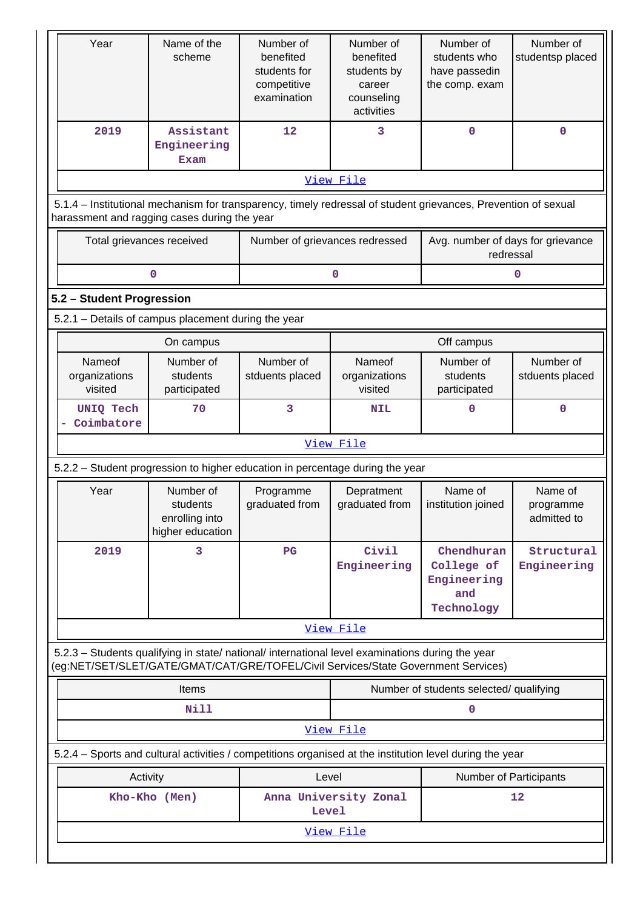| Year                                                                                                                                                                                   | Name of the<br>scheme                                       | Number of<br>benefited<br>students for<br>competitive<br>examination | Number of<br>benefited<br>students by<br>career<br>counseling<br>activities | Number of<br>students who<br>have passedin<br>the comp. exam | Number of<br>studentsp placed       |  |  |  |
|----------------------------------------------------------------------------------------------------------------------------------------------------------------------------------------|-------------------------------------------------------------|----------------------------------------------------------------------|-----------------------------------------------------------------------------|--------------------------------------------------------------|-------------------------------------|--|--|--|
| 2019                                                                                                                                                                                   | Assistant<br>Engineering<br>Exam                            | 12                                                                   | 3                                                                           | $\mathbf 0$                                                  | $\mathbf 0$                         |  |  |  |
|                                                                                                                                                                                        |                                                             |                                                                      | View File                                                                   |                                                              |                                     |  |  |  |
| 5.1.4 – Institutional mechanism for transparency, timely redressal of student grievances, Prevention of sexual<br>harassment and ragging cases during the year                         |                                                             |                                                                      |                                                                             |                                                              |                                     |  |  |  |
| Total grievances received                                                                                                                                                              |                                                             | Number of grievances redressed                                       |                                                                             | Avg. number of days for grievance<br>redressal               |                                     |  |  |  |
|                                                                                                                                                                                        | 0                                                           |                                                                      | 0                                                                           |                                                              | 0                                   |  |  |  |
| 5.2 - Student Progression                                                                                                                                                              |                                                             |                                                                      |                                                                             |                                                              |                                     |  |  |  |
| 5.2.1 - Details of campus placement during the year                                                                                                                                    |                                                             |                                                                      |                                                                             |                                                              |                                     |  |  |  |
|                                                                                                                                                                                        | On campus                                                   |                                                                      |                                                                             | Off campus                                                   |                                     |  |  |  |
| <b>Nameof</b><br>organizations<br>visited                                                                                                                                              | Number of<br>students<br>participated                       | Number of<br>stduents placed                                         | Nameof<br>organizations<br>visited                                          | Number of<br>students<br>participated                        | Number of<br>stduents placed        |  |  |  |
| <b>UNIQ Tech</b><br>Coimbatore                                                                                                                                                         | 70                                                          | 3                                                                    | <b>NIL</b>                                                                  | $\Omega$                                                     | $\mathbf 0$                         |  |  |  |
|                                                                                                                                                                                        |                                                             |                                                                      | View File                                                                   |                                                              |                                     |  |  |  |
| 5.2.2 - Student progression to higher education in percentage during the year                                                                                                          |                                                             |                                                                      |                                                                             |                                                              |                                     |  |  |  |
| Year                                                                                                                                                                                   | Number of<br>students<br>enrolling into<br>higher education | Programme<br>graduated from                                          | Depratment<br>graduated from                                                | Name of<br>institution joined                                | Name of<br>programme<br>admitted to |  |  |  |
| 2019                                                                                                                                                                                   | 3                                                           | $_{\rm PG}$                                                          | Civil<br>Engineering                                                        | Chendhuran<br>College of<br>Engineering<br>and<br>Technology | Structural<br>Engineering           |  |  |  |
|                                                                                                                                                                                        |                                                             |                                                                      | View File                                                                   |                                                              |                                     |  |  |  |
| 5.2.3 - Students qualifying in state/ national/ international level examinations during the year<br>(eg:NET/SET/SLET/GATE/GMAT/CAT/GRE/TOFEL/Civil Services/State Government Services) |                                                             |                                                                      |                                                                             |                                                              |                                     |  |  |  |
|                                                                                                                                                                                        | <b>Items</b>                                                |                                                                      |                                                                             | Number of students selected/ qualifying                      |                                     |  |  |  |
|                                                                                                                                                                                        | Nill                                                        |                                                                      |                                                                             | $\mathbf 0$                                                  |                                     |  |  |  |
|                                                                                                                                                                                        |                                                             |                                                                      | View File                                                                   |                                                              |                                     |  |  |  |
| 5.2.4 - Sports and cultural activities / competitions organised at the institution level during the year                                                                               |                                                             |                                                                      |                                                                             |                                                              |                                     |  |  |  |
| Activity                                                                                                                                                                               |                                                             | Level                                                                |                                                                             | Number of Participants                                       |                                     |  |  |  |
|                                                                                                                                                                                        | Anna University Zonal<br>Kho-Kho (Men)<br>12<br>Level       |                                                                      |                                                                             |                                                              |                                     |  |  |  |
| View File                                                                                                                                                                              |                                                             |                                                                      |                                                                             |                                                              |                                     |  |  |  |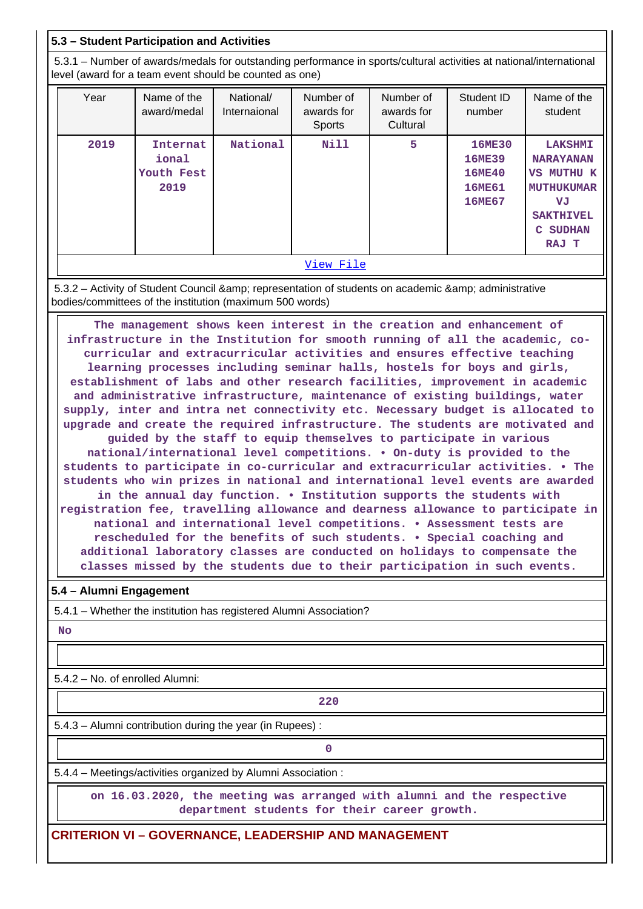# **5.3 – Student Participation and Activities**

 5.3.1 – Number of awards/medals for outstanding performance in sports/cultural activities at national/international level (award for a team event should be counted as one)

| Year      | Name of the<br>award/medal              | National/<br>Internaional | Number of<br>awards for<br><b>Sports</b> | Number of<br>awards for<br>Cultural | Student ID<br>number                                                | Name of the<br>student                                                                                                                 |  |  |
|-----------|-----------------------------------------|---------------------------|------------------------------------------|-------------------------------------|---------------------------------------------------------------------|----------------------------------------------------------------------------------------------------------------------------------------|--|--|
| 2019      | Internat<br>ional<br>Youth Fest<br>2019 | National                  | <b>Nill</b>                              | 5                                   | <b>16ME30</b><br><b>16ME39</b><br><b>16ME40</b><br>16ME61<br>16ME67 | <b>LAKSHMI</b><br><b>NARAYANAN</b><br><b>VS MUTHU K</b><br><b>MUTHUKUMAR</b><br>VJ<br><b>SAKTHIVEL</b><br><b>SUDHAN</b><br>C.<br>RAJ T |  |  |
| View File |                                         |                           |                                          |                                     |                                                                     |                                                                                                                                        |  |  |

5.3.2 - Activity of Student Council & amp; representation of students on academic & amp; administrative bodies/committees of the institution (maximum 500 words)

 **The management shows keen interest in the creation and enhancement of infrastructure in the Institution for smooth running of all the academic, cocurricular and extracurricular activities and ensures effective teaching learning processes including seminar halls, hostels for boys and girls, establishment of labs and other research facilities, improvement in academic and administrative infrastructure, maintenance of existing buildings, water supply, inter and intra net connectivity etc. Necessary budget is allocated to upgrade and create the required infrastructure. The students are motivated and guided by the staff to equip themselves to participate in various national/international level competitions. • On-duty is provided to the students to participate in co-curricular and extracurricular activities. • The students who win prizes in national and international level events are awarded in the annual day function. • Institution supports the students with registration fee, travelling allowance and dearness allowance to participate in national and international level competitions. • Assessment tests are rescheduled for the benefits of such students. • Special coaching and additional laboratory classes are conducted on holidays to compensate the classes missed by the students due to their participation in such events.**

## **5.4 – Alumni Engagement**

5.4.1 – Whether the institution has registered Alumni Association?

 **No**

5.4.2 – No. of enrolled Alumni:

**220**

5.4.3 – Alumni contribution during the year (in Rupees) :

**0**

5.4.4 – Meetings/activities organized by Alumni Association :

 **on 16.03.2020, the meeting was arranged with alumni and the respective department students for their career growth.**

## **CRITERION VI – GOVERNANCE, LEADERSHIP AND MANAGEMENT**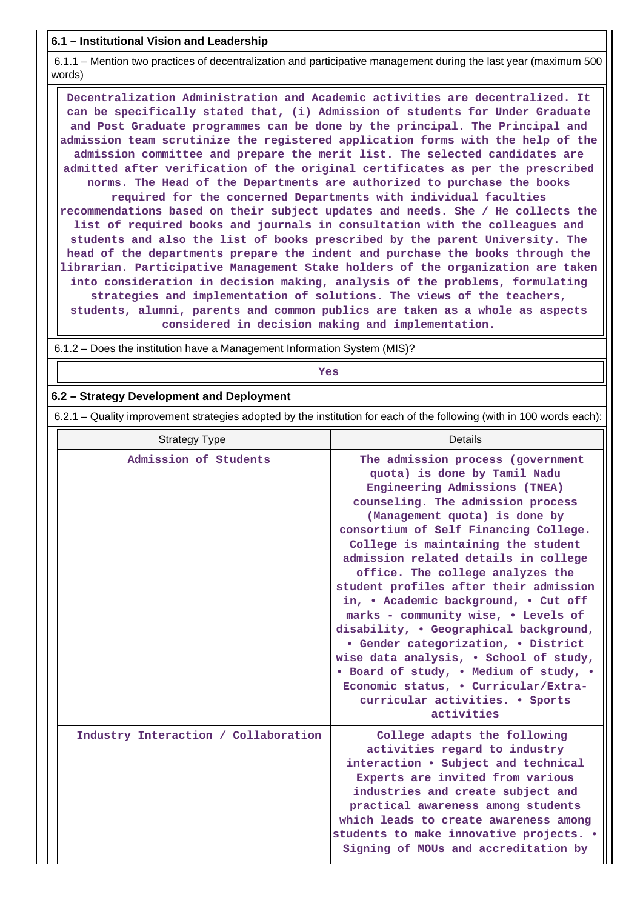## **6.1 – Institutional Vision and Leadership**

 6.1.1 – Mention two practices of decentralization and participative management during the last year (maximum 500 words)

 **Decentralization Administration and Academic activities are decentralized. It can be specifically stated that, (i) Admission of students for Under Graduate and Post Graduate programmes can be done by the principal. The Principal and admission team scrutinize the registered application forms with the help of the admission committee and prepare the merit list. The selected candidates are admitted after verification of the original certificates as per the prescribed norms. The Head of the Departments are authorized to purchase the books required for the concerned Departments with individual faculties recommendations based on their subject updates and needs. She / He collects the list of required books and journals in consultation with the colleagues and students and also the list of books prescribed by the parent University. The head of the departments prepare the indent and purchase the books through the librarian. Participative Management Stake holders of the organization are taken into consideration in decision making, analysis of the problems, formulating strategies and implementation of solutions. The views of the teachers, students, alumni, parents and common publics are taken as a whole as aspects considered in decision making and implementation.**

6.1.2 – Does the institution have a Management Information System (MIS)?

# *Yes*

### **6.2 – Strategy Development and Deployment**

6.2.1 – Quality improvement strategies adopted by the institution for each of the following (with in 100 words each):

| <b>Strategy Type</b>                 | Details                                                                                                                                                                                                                                                                                                                                                                                                                                                                                                                                                                                                                                                                                                                    |  |  |  |
|--------------------------------------|----------------------------------------------------------------------------------------------------------------------------------------------------------------------------------------------------------------------------------------------------------------------------------------------------------------------------------------------------------------------------------------------------------------------------------------------------------------------------------------------------------------------------------------------------------------------------------------------------------------------------------------------------------------------------------------------------------------------------|--|--|--|
| Admission of Students                | The admission process (government<br>quota) is done by Tamil Nadu<br>Engineering Admissions (TNEA)<br>counseling. The admission process<br>(Management quota) is done by<br>consortium of Self Financing College.<br>College is maintaining the student<br>admission related details in college<br>office. The college analyzes the<br>student profiles after their admission<br>in, . Academic background, . Cut off<br>marks - community wise, . Levels of<br>disability, . Geographical background,<br>• Gender categorization, • District<br>wise data analysis, . School of study,<br>. Board of study, . Medium of study, .<br>Economic status, . Curricular/Extra-<br>curricular activities. • Sports<br>activities |  |  |  |
| Industry Interaction / Collaboration | College adapts the following<br>activities regard to industry<br>interaction . Subject and technical<br>Experts are invited from various<br>industries and create subject and<br>practical awareness among students<br>which leads to create awareness among<br>students to make innovative projects. .<br>Signing of MOUs and accreditation by                                                                                                                                                                                                                                                                                                                                                                            |  |  |  |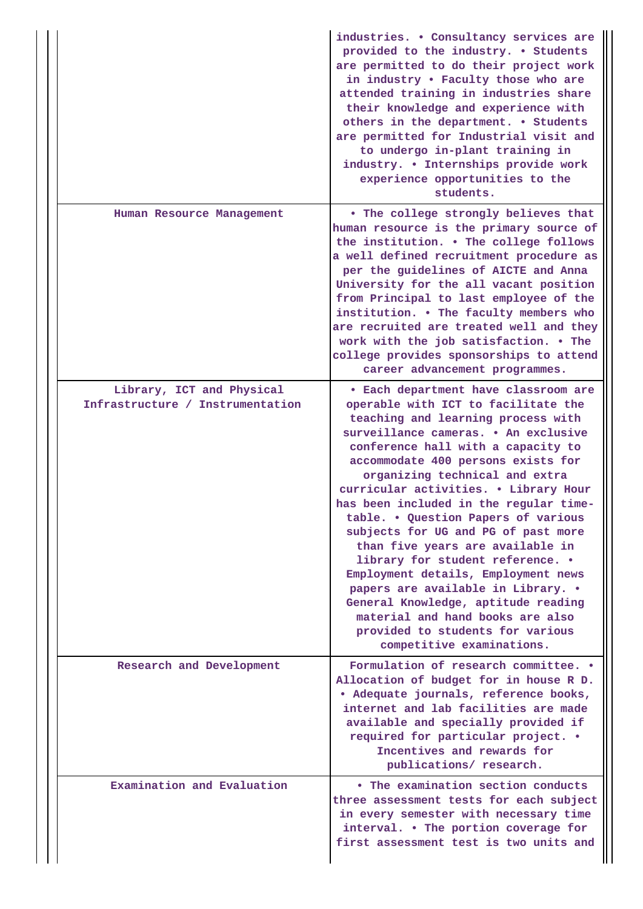|                                                               | industries. . Consultancy services are<br>provided to the industry. . Students<br>are permitted to do their project work<br>in industry . Faculty those who are<br>attended training in industries share<br>their knowledge and experience with<br>others in the department. . Students<br>are permitted for Industrial visit and<br>to undergo in-plant training in<br>industry. . Internships provide work<br>experience opportunities to the<br>students.                                                                                                                                                                                                                                                                              |
|---------------------------------------------------------------|-------------------------------------------------------------------------------------------------------------------------------------------------------------------------------------------------------------------------------------------------------------------------------------------------------------------------------------------------------------------------------------------------------------------------------------------------------------------------------------------------------------------------------------------------------------------------------------------------------------------------------------------------------------------------------------------------------------------------------------------|
| Human Resource Management                                     | . The college strongly believes that<br>human resource is the primary source of<br>the institution. . The college follows<br>a well defined recruitment procedure as<br>per the guidelines of AICTE and Anna<br>University for the all vacant position<br>from Principal to last employee of the<br>institution. . The faculty members who<br>are recruited are treated well and they<br>work with the job satisfaction. . The<br>college provides sponsorships to attend<br>career advancement programmes.                                                                                                                                                                                                                               |
| Library, ICT and Physical<br>Infrastructure / Instrumentation | · Each department have classroom are<br>operable with ICT to facilitate the<br>teaching and learning process with<br>surveillance cameras. . An exclusive<br>conference hall with a capacity to<br>accommodate 400 persons exists for<br>organizing technical and extra<br>curricular activities. . Library Hour<br>has been included in the regular time-<br>table. . Question Papers of various<br>subjects for UG and PG of past more<br>than five years are available in<br>library for student reference. .<br>Employment details, Employment news<br>papers are available in Library. .<br>General Knowledge, aptitude reading<br>material and hand books are also<br>provided to students for various<br>competitive examinations. |
| Research and Development                                      | Formulation of research committee. .<br>Allocation of budget for in house R D.<br>· Adequate journals, reference books,<br>internet and lab facilities are made<br>available and specially provided if<br>required for particular project. •<br>Incentives and rewards for<br>publications/ research.                                                                                                                                                                                                                                                                                                                                                                                                                                     |
| Examination and Evaluation                                    | • The examination section conducts<br>three assessment tests for each subject<br>in every semester with necessary time<br>interval. . The portion coverage for<br>first assessment test is two units and                                                                                                                                                                                                                                                                                                                                                                                                                                                                                                                                  |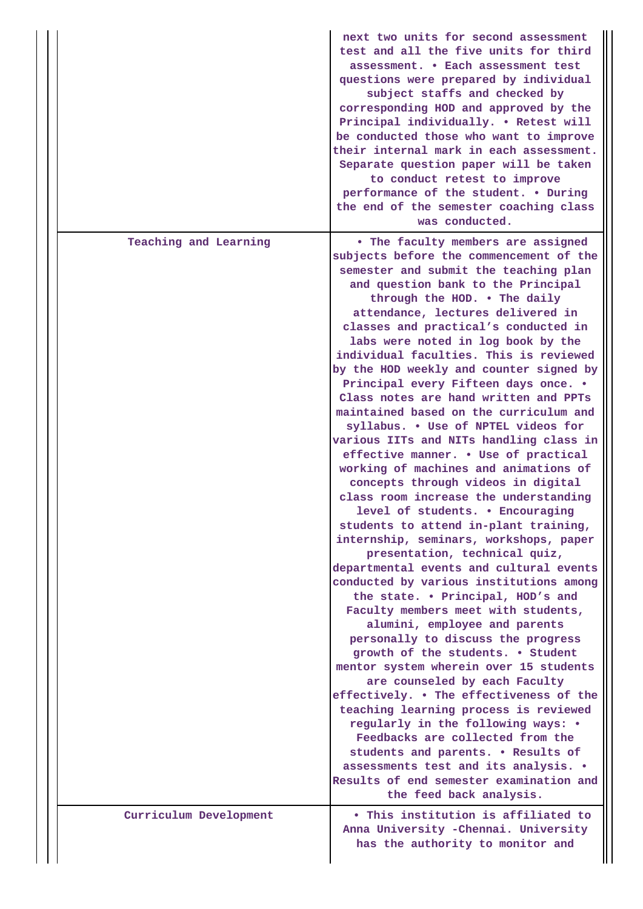|  |                        | next two units for second assessment<br>test and all the five units for third<br>assessment. . Each assessment test<br>questions were prepared by individual<br>subject staffs and checked by<br>corresponding HOD and approved by the<br>Principal individually. . Retest will<br>be conducted those who want to improve<br>their internal mark in each assessment.<br>Separate question paper will be taken<br>to conduct retest to improve<br>performance of the student. . During<br>the end of the semester coaching class<br>was conducted.                                                                                                                                                                                                                                                                                                                                                                                                                                                                                                                                                                                                                                                                                                                                                                                                                                                                                                                                                                                                                                                                    |
|--|------------------------|----------------------------------------------------------------------------------------------------------------------------------------------------------------------------------------------------------------------------------------------------------------------------------------------------------------------------------------------------------------------------------------------------------------------------------------------------------------------------------------------------------------------------------------------------------------------------------------------------------------------------------------------------------------------------------------------------------------------------------------------------------------------------------------------------------------------------------------------------------------------------------------------------------------------------------------------------------------------------------------------------------------------------------------------------------------------------------------------------------------------------------------------------------------------------------------------------------------------------------------------------------------------------------------------------------------------------------------------------------------------------------------------------------------------------------------------------------------------------------------------------------------------------------------------------------------------------------------------------------------------|
|  | Teaching and Learning  | . The faculty members are assigned<br>subjects before the commencement of the<br>semester and submit the teaching plan<br>and question bank to the Principal<br>through the HOD. . The daily<br>attendance, lectures delivered in<br>classes and practical's conducted in<br>labs were noted in log book by the<br>individual faculties. This is reviewed<br>by the HOD weekly and counter signed by<br>Principal every Fifteen days once. .<br>Class notes are hand written and PPTs<br>maintained based on the curriculum and<br>syllabus. . Use of NPTEL videos for<br>various IITs and NITs handling class in<br>effective manner. . Use of practical<br>working of machines and animations of<br>concepts through videos in digital<br>class room increase the understanding<br>level of students. . Encouraging<br>students to attend in-plant training,<br>internship, seminars, workshops, paper<br>presentation, technical quiz,<br>departmental events and cultural events<br>conducted by various institutions among<br>the state. . Principal, HOD's and<br>Faculty members meet with students,<br>alumini, employee and parents<br>personally to discuss the progress<br>growth of the students. . Student<br>mentor system wherein over 15 students<br>are counseled by each Faculty<br>effectively. . The effectiveness of the<br>teaching learning process is reviewed<br>regularly in the following ways: •<br>Feedbacks are collected from the<br>students and parents. . Results of<br>assessments test and its analysis. .<br>Results of end semester examination and<br>the feed back analysis. |
|  | Curriculum Development | . This institution is affiliated to<br>Anna University -Chennai. University<br>has the authority to monitor and                                                                                                                                                                                                                                                                                                                                                                                                                                                                                                                                                                                                                                                                                                                                                                                                                                                                                                                                                                                                                                                                                                                                                                                                                                                                                                                                                                                                                                                                                                      |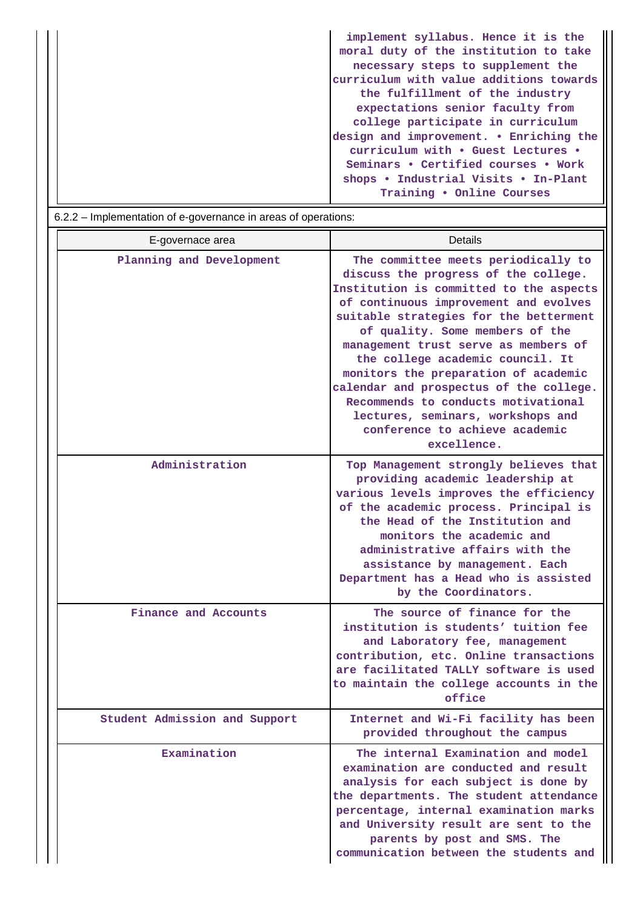| implement syllabus. Hence it is the     |
|-----------------------------------------|
| moral duty of the institution to take   |
| necessary steps to supplement the       |
| curriculum with value additions towards |
| the fulfillment of the industry         |
| expectations senior faculty from        |
| college participate in curriculum       |
| design and improvement. . Enriching the |
| curriculum with . Guest Lectures .      |
| Seminars . Certified courses . Work     |
| shops . Industrial Visits . In-Plant    |
| Training . Online Courses               |

| E-governace area              | Details                                                                                                                                                                                                                                                                                                                                                                                                                                                                                                                                  |
|-------------------------------|------------------------------------------------------------------------------------------------------------------------------------------------------------------------------------------------------------------------------------------------------------------------------------------------------------------------------------------------------------------------------------------------------------------------------------------------------------------------------------------------------------------------------------------|
| Planning and Development      | The committee meets periodically to<br>discuss the progress of the college.<br>Institution is committed to the aspects<br>of continuous improvement and evolves<br>suitable strategies for the betterment<br>of quality. Some members of the<br>management trust serve as members of<br>the college academic council. It<br>monitors the preparation of academic<br>calendar and prospectus of the college.<br>Recommends to conducts motivational<br>lectures, seminars, workshops and<br>conference to achieve academic<br>excellence. |
| Administration                | Top Management strongly believes that<br>providing academic leadership at<br>various levels improves the efficiency<br>of the academic process. Principal is<br>the Head of the Institution and<br>monitors the academic and<br>administrative affairs with the<br>assistance by management. Each<br>Department has a Head who is assisted<br>by the Coordinators.                                                                                                                                                                       |
| Finance and Accounts          | The source of finance for the<br>institution is students' tuition fee<br>and Laboratory fee, management<br>contribution, etc. Online transactions<br>are facilitated TALLY software is used<br>to maintain the college accounts in the<br>office                                                                                                                                                                                                                                                                                         |
| Student Admission and Support | Internet and Wi-Fi facility has been<br>provided throughout the campus                                                                                                                                                                                                                                                                                                                                                                                                                                                                   |
| Examination                   | The internal Examination and model<br>examination are conducted and result<br>analysis for each subject is done by<br>the departments. The student attendance<br>percentage, internal examination marks<br>and University result are sent to the<br>parents by post and SMS. The<br>communication between the students and                                                                                                                                                                                                               |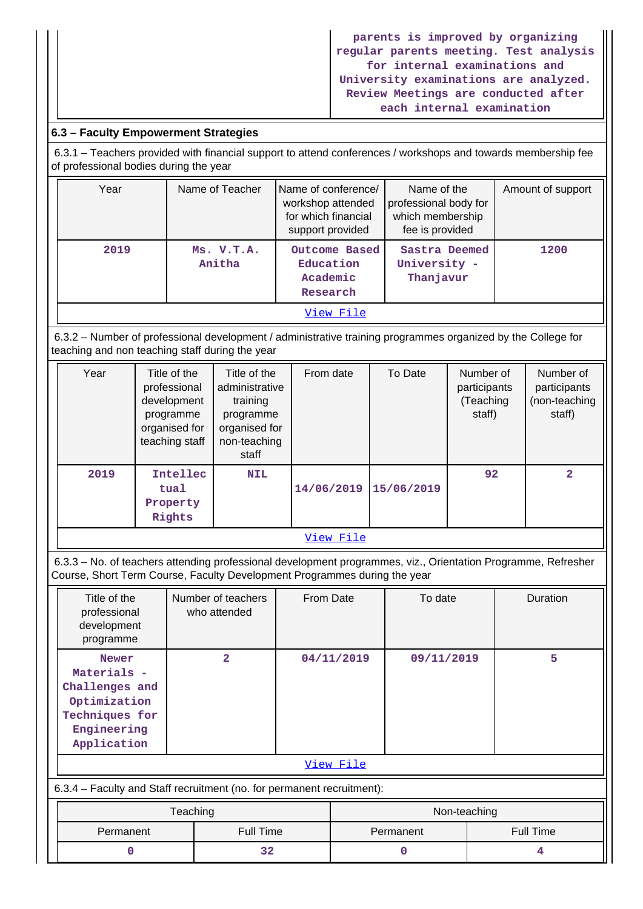**parents is improved by organizing regular parents meeting. Test analysis for internal examinations and University examinations are analyzed. Review Meetings are conducted after each internal examination**

# **6.3 – Faculty Empowerment Strategies**

 6.3.1 – Teachers provided with financial support to attend conferences / workshops and towards membership fee of professional bodies during the year

| Year | Name of Teacher      | Name of conference/<br>workshop attended<br>for which financial<br>support provided | Name of the<br>professional body for<br>which membership<br>fee is provided | Amount of support |
|------|----------------------|-------------------------------------------------------------------------------------|-----------------------------------------------------------------------------|-------------------|
| 2019 | Ms. V.T.A.<br>Anitha | Outcome Based<br>Education<br>Academic<br>Research                                  | Sastra Deemed<br>University -<br>Thanjavur                                  | 1200              |
|      |                      | View File                                                                           |                                                                             |                   |

 6.3.2 – Number of professional development / administrative training programmes organized by the College for teaching and non teaching staff during the year

| Year      | Title of the<br>professional<br>development<br>programme<br>organised for<br>teaching staff | Title of the<br>administrative<br>training<br>programme<br>organised for<br>non-teaching<br>staff | From date  | To Date    | Number of<br>participants<br>(Teaching<br>staff) | Number of<br>participants<br>(non-teaching<br>staff) |
|-----------|---------------------------------------------------------------------------------------------|---------------------------------------------------------------------------------------------------|------------|------------|--------------------------------------------------|------------------------------------------------------|
| 2019      | Intellec<br>tual<br>Property<br>Rights                                                      | <b>NIL</b>                                                                                        | 14/06/2019 | 15/06/2019 | 92                                               | $\overline{2}$                                       |
| View File |                                                                                             |                                                                                                   |            |            |                                                  |                                                      |

 6.3.3 – No. of teachers attending professional development programmes, viz., Orientation Programme, Refresher Course, Short Term Course, Faculty Development Programmes during the year

| Title of the<br>professional<br>development<br>programme                                                      | Number of teachers<br>who attended | From Date    | To date    | Duration         |
|---------------------------------------------------------------------------------------------------------------|------------------------------------|--------------|------------|------------------|
| <b>Newer</b><br>Materials -<br>Challenges and<br>Optimization<br>Techniques for<br>Engineering<br>Application | $\overline{a}$                     | 04/11/2019   | 09/11/2019 | 5                |
|                                                                                                               |                                    | View File    |            |                  |
| 6.3.4 – Faculty and Staff recruitment (no. for permanent recruitment):                                        |                                    |              |            |                  |
|                                                                                                               |                                    | Non-teaching |            |                  |
| Permanent                                                                                                     | <b>Full Time</b>                   |              | Permanent  | <b>Full Time</b> |

**0** 32 0 4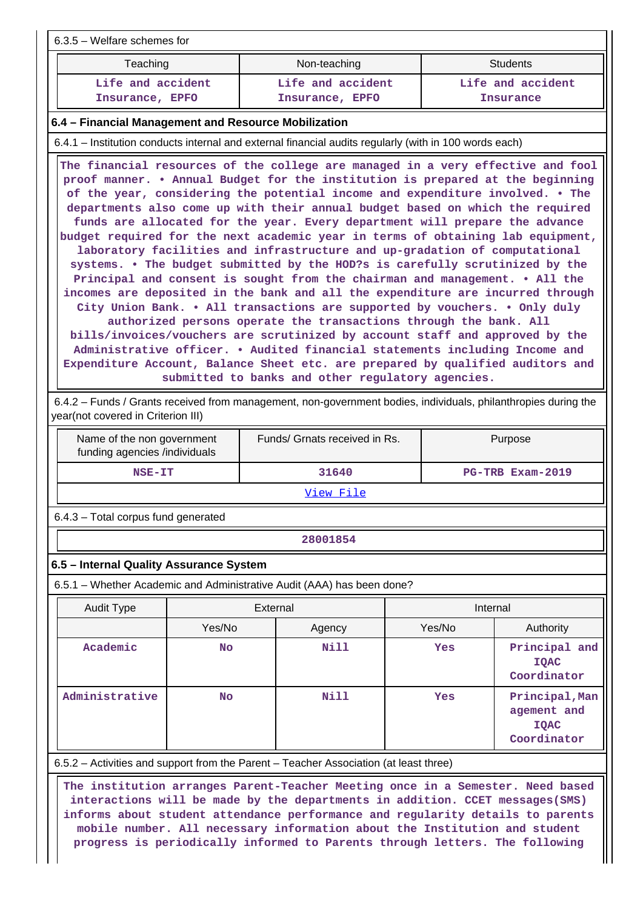| $6.3.5$ – Welfare schemes for                                                                          |                                                                                                                                                                                                                                                                                                                                                                                                                                                                                                                                                                                                                                                                                                                                                                                                                                                                                                                                                                                                                                                                                                                                                                                                                                                                                               |                                       |  |  |  |  |  |
|--------------------------------------------------------------------------------------------------------|-----------------------------------------------------------------------------------------------------------------------------------------------------------------------------------------------------------------------------------------------------------------------------------------------------------------------------------------------------------------------------------------------------------------------------------------------------------------------------------------------------------------------------------------------------------------------------------------------------------------------------------------------------------------------------------------------------------------------------------------------------------------------------------------------------------------------------------------------------------------------------------------------------------------------------------------------------------------------------------------------------------------------------------------------------------------------------------------------------------------------------------------------------------------------------------------------------------------------------------------------------------------------------------------------|---------------------------------------|--|--|--|--|--|
| Teaching                                                                                               | Non-teaching                                                                                                                                                                                                                                                                                                                                                                                                                                                                                                                                                                                                                                                                                                                                                                                                                                                                                                                                                                                                                                                                                                                                                                                                                                                                                  | <b>Students</b>                       |  |  |  |  |  |
| Life and accident<br>Insurance, EPFO                                                                   | Life and accident<br>Insurance, EPFO                                                                                                                                                                                                                                                                                                                                                                                                                                                                                                                                                                                                                                                                                                                                                                                                                                                                                                                                                                                                                                                                                                                                                                                                                                                          | Life and accident<br><b>Insurance</b> |  |  |  |  |  |
| 6.4 – Financial Management and Resource Mobilization                                                   |                                                                                                                                                                                                                                                                                                                                                                                                                                                                                                                                                                                                                                                                                                                                                                                                                                                                                                                                                                                                                                                                                                                                                                                                                                                                                               |                                       |  |  |  |  |  |
| 6.4.1 – Institution conducts internal and external financial audits regularly (with in 100 words each) |                                                                                                                                                                                                                                                                                                                                                                                                                                                                                                                                                                                                                                                                                                                                                                                                                                                                                                                                                                                                                                                                                                                                                                                                                                                                                               |                                       |  |  |  |  |  |
|                                                                                                        | The financial resources of the college are managed in a very effective and fool<br>proof manner. • Annual Budget for the institution is prepared at the beginning<br>of the year, considering the potential income and expenditure involved. • The<br>departments also come up with their annual budget based on which the required<br>funds are allocated for the year. Every department will prepare the advance<br>budget required for the next academic year in terms of obtaining lab equipment,<br>laboratory facilities and infrastructure and up-gradation of computational<br>systems. • The budget submitted by the HOD?s is carefully scrutinized by the<br>Principal and consent is sought from the chairman and management. • All the<br>incomes are deposited in the bank and all the expenditure are incurred through<br>City Union Bank. • All transactions are supported by vouchers. • Only duly<br>authorized persons operate the transactions through the bank. All<br>bills/invoices/vouchers are scrutinized by account staff and approved by the<br>Administrative officer. • Audited financial statements including Income and<br>Expenditure Account, Balance Sheet etc. are prepared by qualified auditors and<br>submitted to banks and other requlatory agencies. |                                       |  |  |  |  |  |

 6.4.2 – Funds / Grants received from management, non-government bodies, individuals, philanthropies during the year(not covered in Criterion III)

| Name of the non government<br>funding agencies /individuals | Funds/ Grnats received in Rs. | Purpose                 |  |  |
|-------------------------------------------------------------|-------------------------------|-------------------------|--|--|
| NSE-IT                                                      | 31640                         | <b>PG-TRB Exam-2019</b> |  |  |
|                                                             |                               |                         |  |  |

[View File](https://assessmentonline.naac.gov.in/public/Postacc/Funds_or_Grants/7479_Funds_or_Grants_1640862184.xlsx)

6.4.3 – Total corpus fund generated

**28001854**

## **6.5 – Internal Quality Assurance System**

6.5.1 – Whether Academic and Administrative Audit (AAA) has been done?

| Audit Type     | External  |             | Internal |                                                             |
|----------------|-----------|-------------|----------|-------------------------------------------------------------|
|                | Yes/No    | Agency      | Yes/No   | Authority                                                   |
| Academic       | <b>No</b> | <b>Nill</b> | Yes      | Principal and<br><b>IOAC</b><br>Coordinator                 |
| Administrative | <b>No</b> | Nill        | Yes      | Principal, Man<br>agement and<br><b>IQAC</b><br>Coordinator |

6.5.2 – Activities and support from the Parent – Teacher Association (at least three)

 **The institution arranges Parent-Teacher Meeting once in a Semester. Need based interactions will be made by the departments in addition. CCET messages(SMS) informs about student attendance performance and regularity details to parents mobile number. All necessary information about the Institution and student progress is periodically informed to Parents through letters. The following**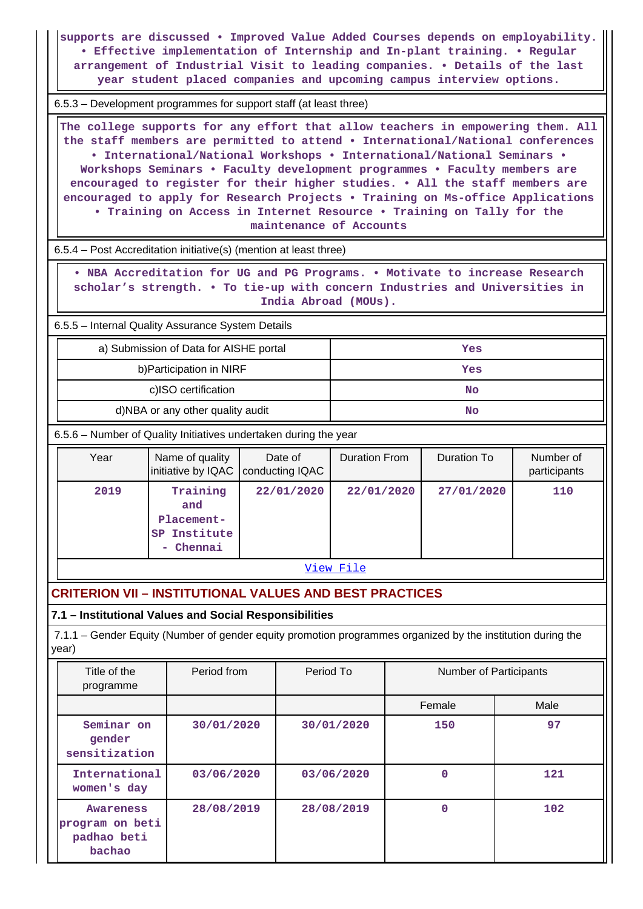**supports are discussed • Improved Value Added Courses depends on employability. • Effective implementation of Internship and In-plant training. • Regular arrangement of Industrial Visit to leading companies. • Details of the last year student placed companies and upcoming campus interview options.**

6.5.3 – Development programmes for support staff (at least three)

 **The college supports for any effort that allow teachers in empowering them. All the staff members are permitted to attend • International/National conferences • International/National Workshops • International/National Seminars • Workshops Seminars • Faculty development programmes • Faculty members are encouraged to register for their higher studies. • All the staff members are encouraged to apply for Research Projects • Training on Ms-office Applications • Training on Access in Internet Resource • Training on Tally for the maintenance of Accounts**

6.5.4 – Post Accreditation initiative(s) (mention at least three)

 **• NBA Accreditation for UG and PG Programs. • Motivate to increase Research scholar's strength. • To tie-up with concern Industries and Universities in India Abroad (MOUs).**

6.5.5 – Internal Quality Assurance System Details

| a) Submission of Data for AISHE portal | Yes |
|----------------------------------------|-----|
| b) Participation in NIRF               | Yes |
| c)ISO certification                    | No  |
| d)NBA or any other quality audit       | No  |

6.5.6 – Number of Quality Initiatives undertaken during the year

| Year | Name of quality                                            | Date of<br>initiative by IQAC   conducting IQAC | Duration From | Duration To | Number of<br>participants |
|------|------------------------------------------------------------|-------------------------------------------------|---------------|-------------|---------------------------|
| 2019 | Training<br>and<br>Placement-<br>SP Institute<br>- Chennai | 22/01/2020                                      | 22/01/2020    | 27/01/2020  | 110                       |

[View File](https://assessmentonline.naac.gov.in/public/Postacc/Quality_Initiatives_B/7479_Quality_Initiatives_B_1640862367.xlsx)

# **CRITERION VII – INSTITUTIONAL VALUES AND BEST PRACTICES**

**7.1 – Institutional Values and Social Responsibilities**

 7.1.1 – Gender Equity (Number of gender equity promotion programmes organized by the institution during the year)

| Title of the<br>programme                                    | Period from | Period To  | <b>Number of Participants</b> |      |
|--------------------------------------------------------------|-------------|------------|-------------------------------|------|
|                                                              |             |            | Female                        | Male |
| Seminar on<br>gender<br>sensitization                        | 30/01/2020  | 30/01/2020 | 150                           | 97   |
| International<br>women's day                                 | 03/06/2020  | 03/06/2020 | $\Omega$                      | 121  |
| <b>Awareness</b><br>program on beti<br>padhao beti<br>bachao | 28/08/2019  | 28/08/2019 | 0                             | 102  |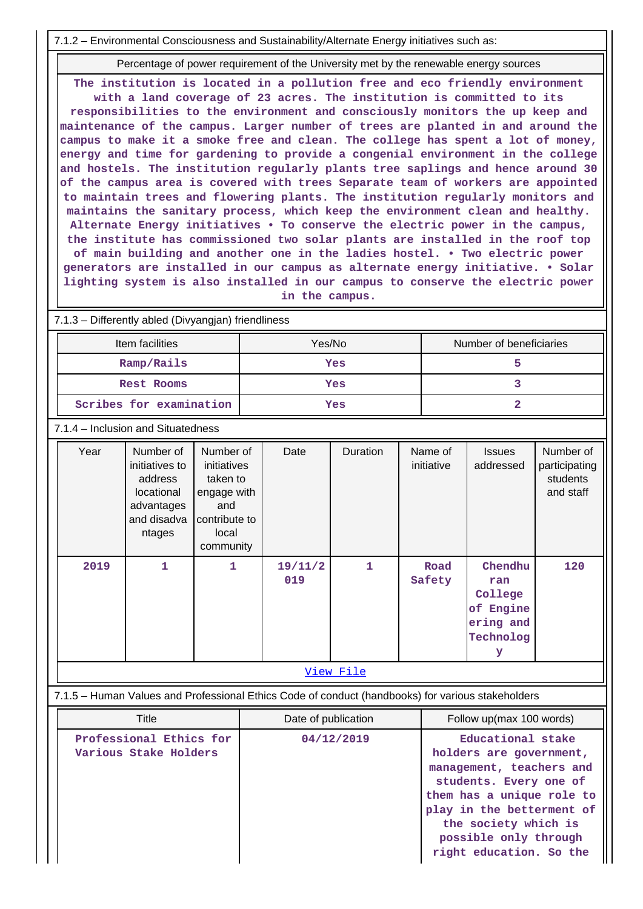7.1.2 – Environmental Consciousness and Sustainability/Alternate Energy initiatives such as:

Percentage of power requirement of the University met by the renewable energy sources

**The institution is located in a pollution free and eco friendly environment with a land coverage of 23 acres. The institution is committed to its responsibilities to the environment and consciously monitors the up keep and maintenance of the campus. Larger number of trees are planted in and around the campus to make it a smoke free and clean. The college has spent a lot of money, energy and time for gardening to provide a congenial environment in the college and hostels. The institution regularly plants tree saplings and hence around 30 of the campus area is covered with trees Separate team of workers are appointed to maintain trees and flowering plants. The institution regularly monitors and maintains the sanitary process, which keep the environment clean and healthy. Alternate Energy initiatives • To conserve the electric power in the campus, the institute has commissioned two solar plants are installed in the roof top of main building and another one in the ladies hostel. • Two electric power generators are installed in our campus as alternate energy initiative. • Solar lighting system is also installed in our campus to conserve the electric power in the campus.**

7.1.3 – Differently abled (Divyangjan) friendliness

| Item facilities         | Yes/No | Number of beneficiaries |
|-------------------------|--------|-------------------------|
| Ramp/Rails              | Yes    |                         |
| Rest Rooms              | Yes    |                         |
| Scribes for examination | Yes    |                         |

7.1.4 – Inclusion and Situatedness

| Year             | Number of<br>initiatives to<br>address<br>locational<br>advantages<br>and disadva<br>ntages | Number of<br>initiatives<br>taken to<br>engage with<br>and<br>contribute to<br>local<br>community | Date           | Duration | Name of<br>initiative | <b>Issues</b><br>addressed                                            | Number of<br>participating<br>students<br>and staff |
|------------------|---------------------------------------------------------------------------------------------|---------------------------------------------------------------------------------------------------|----------------|----------|-----------------------|-----------------------------------------------------------------------|-----------------------------------------------------|
| 2019             | 1                                                                                           | 1                                                                                                 | 19/11/2<br>019 | 1        | Road<br>Safety        | Chendhu<br>ran<br>College<br>of Engine<br>ering and<br>Technolog<br>У | 120                                                 |
| <u>View File</u> |                                                                                             |                                                                                                   |                |          |                       |                                                                       |                                                     |

7.1.5 – Human Values and Professional Ethics Code of conduct (handbooks) for various stakeholders

| Title                                            | Date of publication | Follow up(max 100 words)                                                                                                                                                                                                                 |
|--------------------------------------------------|---------------------|------------------------------------------------------------------------------------------------------------------------------------------------------------------------------------------------------------------------------------------|
| Professional Ethics for<br>Various Stake Holders | 04/12/2019          | Educational stake<br>holders are government,<br>management, teachers and<br>students. Every one of<br>them has a unique role to<br>play in the betterment of<br>the society which is<br>possible only through<br>right education. So the |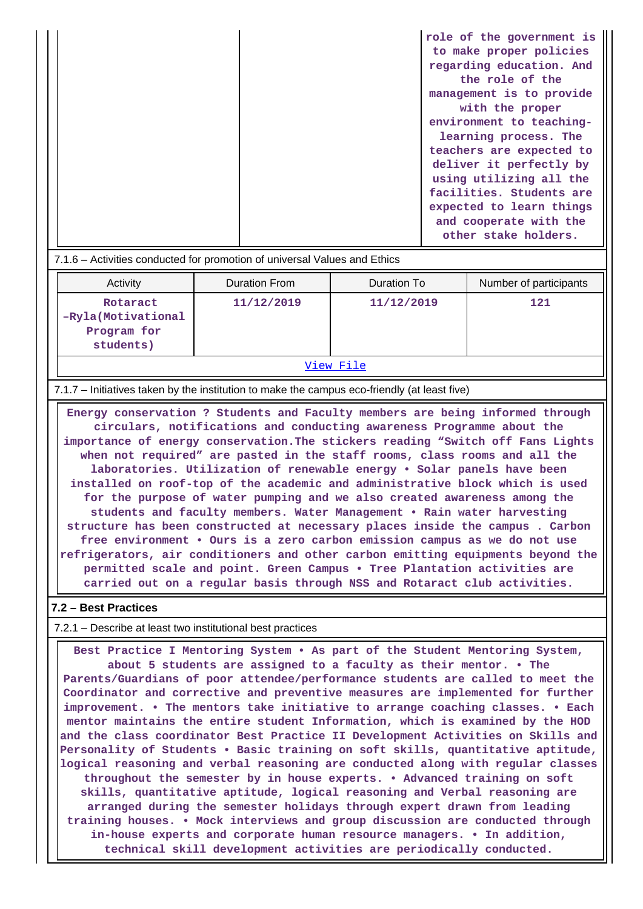|  | role of the government is |
|--|---------------------------|
|  | to make proper policies   |
|  | regarding education. And  |
|  | the role of the           |
|  | management is to provide  |
|  | with the proper           |
|  | environment to teaching-  |
|  | learning process. The     |
|  | teachers are expected to  |
|  | deliver it perfectly by   |
|  | using utilizing all the   |
|  | facilities. Students are  |
|  | expected to learn things  |
|  | and cooperate with the    |
|  | other stake holders.      |

| 7.1.6 – Activities conducted for promotion of universal Values and Ethics |  |
|---------------------------------------------------------------------------|--|
|                                                                           |  |

| Activity                                                    | Duration From | Duration To | Number of participants |  |
|-------------------------------------------------------------|---------------|-------------|------------------------|--|
| Rotaract<br>-Ryla (Motivational<br>Program for<br>students) | 11/12/2019    | 11/12/2019  | 121                    |  |
|                                                             |               |             |                        |  |

[View File](https://assessmentonline.naac.gov.in/public/Postacc/promotion_activities/7479_promotion_activities_1640862410.xlsx)

7.1.7 – Initiatives taken by the institution to make the campus eco-friendly (at least five)

 **Energy conservation ? Students and Faculty members are being informed through circulars, notifications and conducting awareness Programme about the importance of energy conservation.The stickers reading "Switch off Fans Lights when not required" are pasted in the staff rooms, class rooms and all the laboratories. Utilization of renewable energy • Solar panels have been installed on roof-top of the academic and administrative block which is used for the purpose of water pumping and we also created awareness among the students and faculty members. Water Management • Rain water harvesting structure has been constructed at necessary places inside the campus . Carbon free environment • Ours is a zero carbon emission campus as we do not use refrigerators, air conditioners and other carbon emitting equipments beyond the permitted scale and point. Green Campus • Tree Plantation activities are carried out on a regular basis through NSS and Rotaract club activities.**

#### **7.2 – Best Practices**

7.2.1 – Describe at least two institutional best practices

 **Best Practice I Mentoring System • As part of the Student Mentoring System, about 5 students are assigned to a faculty as their mentor. • The Parents/Guardians of poor attendee/performance students are called to meet the Coordinator and corrective and preventive measures are implemented for further improvement. • The mentors take initiative to arrange coaching classes. • Each mentor maintains the entire student Information, which is examined by the HOD and the class coordinator Best Practice II Development Activities on Skills and Personality of Students • Basic training on soft skills, quantitative aptitude, logical reasoning and verbal reasoning are conducted along with regular classes throughout the semester by in house experts. • Advanced training on soft skills, quantitative aptitude, logical reasoning and Verbal reasoning are arranged during the semester holidays through expert drawn from leading training houses. • Mock interviews and group discussion are conducted through in-house experts and corporate human resource managers. • In addition, technical skill development activities are periodically conducted.**